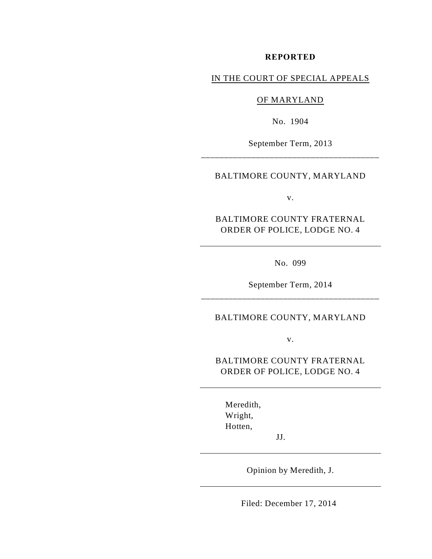#### **REPORTED**

# IN THE COURT OF SPECIAL APPEALS

### OF MARYLAND

No. 1904

September Term, 2013 \_\_\_\_\_\_\_\_\_\_\_\_\_\_\_\_\_\_\_\_\_\_\_\_\_\_\_\_\_\_\_\_\_\_\_\_\_\_\_

#### BALTIMORE COUNTY, MARYLAND

v.

BALTIMORE COUNTY FRATERNAL ORDER OF POLICE, LODGE NO. 4

No. 099

September Term, 2014 \_\_\_\_\_\_\_\_\_\_\_\_\_\_\_\_\_\_\_\_\_\_\_\_\_\_\_\_\_\_\_\_\_\_\_\_\_\_\_

### BALTIMORE COUNTY, MARYLAND

v.

BALTIMORE COUNTY FRATERNAL ORDER OF POLICE, LODGE NO. 4

Meredith, Wright, Hotten,

Opinion by Meredith, J.

JJ.

Filed: December 17, 2014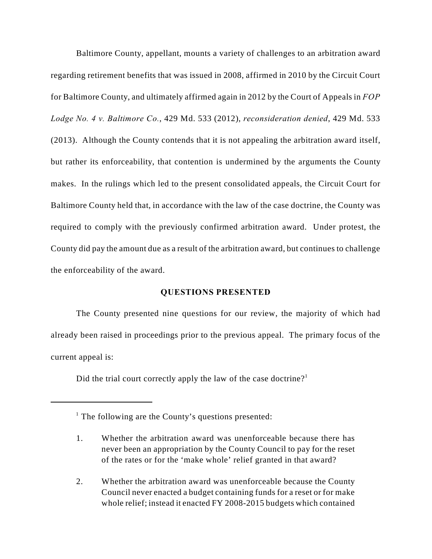Baltimore County, appellant, mounts a variety of challenges to an arbitration award regarding retirement benefits that was issued in 2008, affirmed in 2010 by the Circuit Court for Baltimore County, and ultimately affirmed again in 2012 by the Court of Appeals in *FOP Lodge No. 4 v. Baltimore Co.*, 429 Md. 533 (2012), *reconsideration denied*, 429 Md. 533 (2013). Although the County contends that it is not appealing the arbitration award itself, but rather its enforceability, that contention is undermined by the arguments the County makes. In the rulings which led to the present consolidated appeals, the Circuit Court for Baltimore County held that, in accordance with the law of the case doctrine, the County was required to comply with the previously confirmed arbitration award. Under protest, the County did pay the amount due as a result of the arbitration award, but continues to challenge the enforceability of the award.

## **QUESTIONS PRESENTED**

The County presented nine questions for our review, the majority of which had already been raised in proceedings prior to the previous appeal. The primary focus of the current appeal is:

Did the trial court correctly apply the law of the case doctrine?<sup>1</sup>

 $<sup>1</sup>$  The following are the County's questions presented:</sup>

<sup>1.</sup> Whether the arbitration award was unenforceable because there has never been an appropriation by the County Council to pay for the reset of the rates or for the 'make whole' relief granted in that award?

<sup>2.</sup> Whether the arbitration award was unenforceable because the County Council never enacted a budget containing funds for a reset or for make whole relief; instead it enacted FY 2008-2015 budgets which contained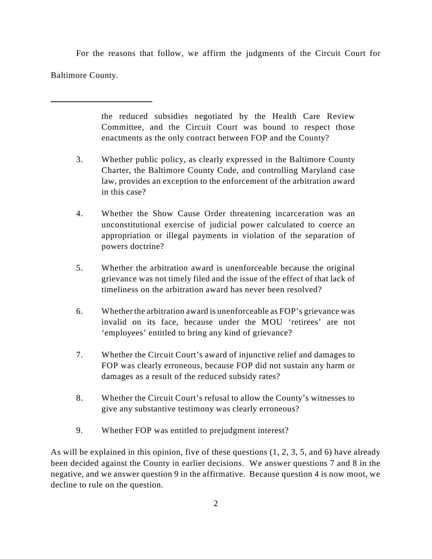For the reasons that follow, we affirm the judgments of the Circuit Court for Baltimore County.

> the reduced subsidies negotiated by the Health Care Review Committee, and the Circuit Court was bound to respect those enactments as the only contract between FOP and the County?

- 3. Whether public policy, as clearly expressed in the Baltimore County Charter, the Baltimore County Code, and controlling Maryland case law, provides an exception to the enforcement of the arbitration award in this case?
- 4. Whether the Show Cause Order threatening incarceration was an unconstitutional exercise of judicial power calculated to coerce an appropriation or illegal payments in violation of the separation of powers doctrine?
- 5. Whether the arbitration award is unenforceable because the original grievance was not timely filed and the issue of the effect of that lack of timeliness on the arbitration award has never been resolved?
- 6. Whether the arbitration award is unenforceable as FOP's grievance was invalid on its face, because under the MOU 'retirees' are not 'employees' entitled to bring any kind of grievance?
- 7. Whether the Circuit Court's award of injunctive relief and damages to FOP was clearly erroneous, because FOP did not sustain any harm or damages as a result of the reduced subsidy rates?
- 8. Whether the Circuit Court's refusal to allow the County's witnesses to give any substantive testimony was clearly erroneous?
- 9. Whether FOP was entitled to prejudgment interest?

As will be explained in this opinion, five of these questions (1, 2, 3, 5, and 6) have already been decided against the County in earlier decisions. We answer questions 7 and 8 in the negative, and we answer question 9 in the affirmative. Because question 4 is now moot, we decline to rule on the question.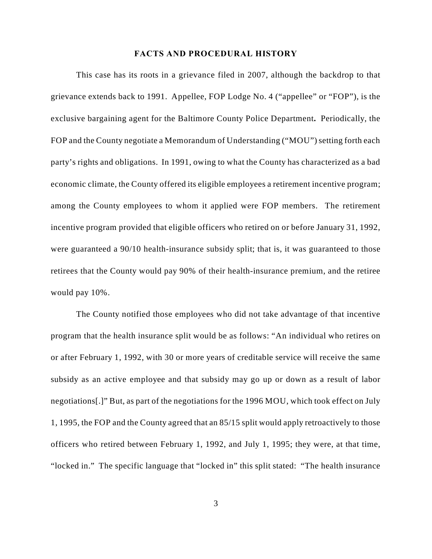#### **FACTS AND PROCEDURAL HISTORY**

This case has its roots in a grievance filed in 2007, although the backdrop to that grievance extends back to 1991. Appellee, FOP Lodge No. 4 ("appellee" or "FOP"), is the exclusive bargaining agent for the Baltimore County Police Department**.** Periodically, the FOP and the County negotiate a Memorandum of Understanding ("MOU") setting forth each party's rights and obligations. In 1991, owing to what the County has characterized as a bad economic climate, the County offered its eligible employees a retirement incentive program; among the County employees to whom it applied were FOP members. The retirement incentive program provided that eligible officers who retired on or before January 31, 1992, were guaranteed a 90/10 health-insurance subsidy split; that is, it was guaranteed to those retirees that the County would pay 90% of their health-insurance premium, and the retiree would pay 10%.

The County notified those employees who did not take advantage of that incentive program that the health insurance split would be as follows: "An individual who retires on or after February 1, 1992, with 30 or more years of creditable service will receive the same subsidy as an active employee and that subsidy may go up or down as a result of labor negotiations[.]" But, as part of the negotiations for the 1996 MOU, which took effect on July 1, 1995, the FOP and the County agreed that an 85/15 split would apply retroactively to those officers who retired between February 1, 1992, and July 1, 1995; they were, at that time, "locked in." The specific language that "locked in" this split stated: "The health insurance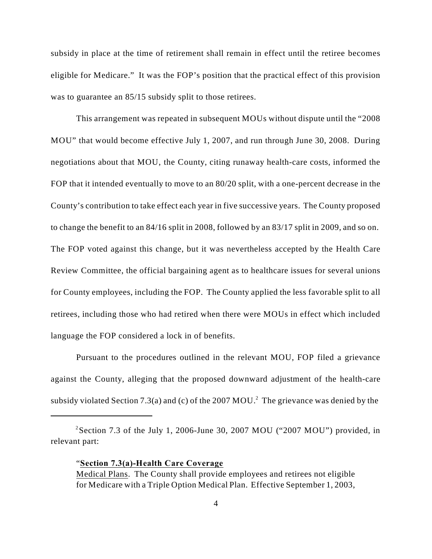subsidy in place at the time of retirement shall remain in effect until the retiree becomes eligible for Medicare." It was the FOP's position that the practical effect of this provision was to guarantee an 85/15 subsidy split to those retirees.

This arrangement was repeated in subsequent MOUs without dispute until the "2008 MOU" that would become effective July 1, 2007, and run through June 30, 2008.During negotiations about that MOU, the County, citing runaway health-care costs, informed the FOP that it intended eventually to move to an 80/20 split, with a one-percent decrease in the County's contribution to take effect each year in five successive years. The County proposed to change the benefit to an 84/16 split in 2008, followed by an 83/17 split in 2009, and so on. The FOP voted against this change, but it was nevertheless accepted by the Health Care Review Committee, the official bargaining agent as to healthcare issues for several unions for County employees, including the FOP. The County applied the less favorable split to all retirees, including those who had retired when there were MOUs in effect which included language the FOP considered a lock in of benefits.

Pursuant to the procedures outlined in the relevant MOU, FOP filed a grievance against the County, alleging that the proposed downward adjustment of the health-care subsidy violated Section 7.3(a) and (c) of the 2007 MOU.<sup>2</sup> The grievance was denied by the

<sup>&</sup>lt;sup>2</sup> Section 7.3 of the July 1, 2006-June 30, 2007 MOU ("2007 MOU") provided, in relevant part:

<sup>&</sup>quot;**Section 7.3(a)-Health Care Coverage**

Medical Plans. The County shall provide employees and retirees not eligible for Medicare with a Triple Option Medical Plan. Effective September 1, 2003,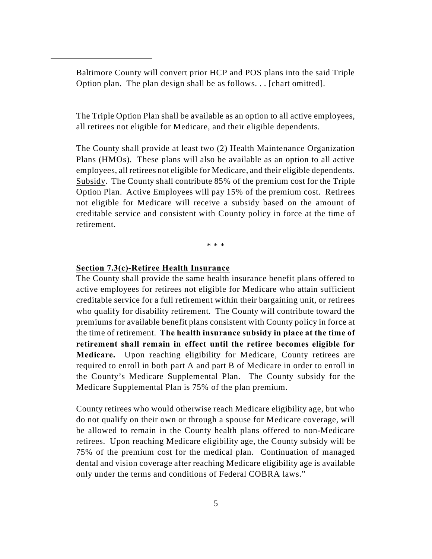Baltimore County will convert prior HCP and POS plans into the said Triple Option plan. The plan design shall be as follows. . . [chart omitted].

The Triple Option Plan shall be available as an option to all active employees, all retirees not eligible for Medicare, and their eligible dependents.

The County shall provide at least two (2) Health Maintenance Organization Plans (HMOs). These plans will also be available as an option to all active employees, all retirees not eligible for Medicare, and their eligible dependents. Subsidy. The County shall contribute 85% of the premium cost for the Triple Option Plan. Active Employees will pay 15% of the premium cost. Retirees not eligible for Medicare will receive a subsidy based on the amount of creditable service and consistent with County policy in force at the time of retirement.

\* \* \*

## **Section 7.3(c)-Retiree Health Insurance**

The County shall provide the same health insurance benefit plans offered to active employees for retirees not eligible for Medicare who attain sufficient creditable service for a full retirement within their bargaining unit, or retirees who qualify for disability retirement. The County will contribute toward the premiums for available benefit plans consistent with County policy in force at the time of retirement. **The health insurance subsidy in place at the time of retirement shall remain in effect until the retiree becomes eligible for Medicare.** Upon reaching eligibility for Medicare, County retirees are required to enroll in both part A and part B of Medicare in order to enroll in the County's Medicare Supplemental Plan. The County subsidy for the Medicare Supplemental Plan is 75% of the plan premium.

County retirees who would otherwise reach Medicare eligibility age, but who do not qualify on their own or through a spouse for Medicare coverage, will be allowed to remain in the County health plans offered to non-Medicare retirees. Upon reaching Medicare eligibility age, the County subsidy will be 75% of the premium cost for the medical plan. Continuation of managed dental and vision coverage after reaching Medicare eligibility age is available only under the terms and conditions of Federal COBRA laws."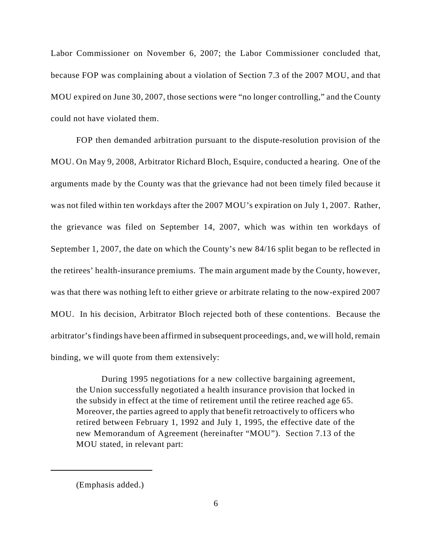Labor Commissioner on November 6, 2007; the Labor Commissioner concluded that, because FOP was complaining about a violation of Section 7.3 of the 2007 MOU, and that MOU expired on June 30, 2007, those sections were "no longer controlling," and the County could not have violated them.

FOP then demanded arbitration pursuant to the dispute-resolution provision of the MOU. On May 9, 2008, Arbitrator Richard Bloch, Esquire, conducted a hearing. One of the arguments made by the County was that the grievance had not been timely filed because it was not filed within ten workdays after the 2007 MOU's expiration on July 1, 2007. Rather, the grievance was filed on September 14, 2007, which was within ten workdays of September 1, 2007, the date on which the County's new 84/16 split began to be reflected in the retirees' health-insurance premiums. The main argument made by the County, however, was that there was nothing left to either grieve or arbitrate relating to the now-expired 2007 MOU. In his decision, Arbitrator Bloch rejected both of these contentions. Because the arbitrator's findings have been affirmed in subsequent proceedings, and, we will hold, remain binding, we will quote from them extensively:

During 1995 negotiations for a new collective bargaining agreement, the Union successfully negotiated a health insurance provision that locked in the subsidy in effect at the time of retirement until the retiree reached age 65. Moreover, the parties agreed to apply that benefit retroactively to officers who retired between February 1, 1992 and July 1, 1995, the effective date of the new Memorandum of Agreement (hereinafter "MOU"). Section 7.13 of the MOU stated, in relevant part:

<sup>(</sup>Emphasis added.)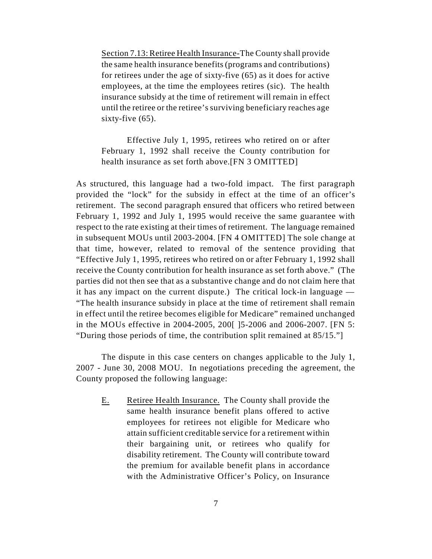Section 7.13: Retiree Health Insurance-The County shall provide the same health insurance benefits (programs and contributions) for retirees under the age of sixty-five (65) as it does for active employees, at the time the employees retires (sic). The health insurance subsidy at the time of retirement will remain in effect until the retiree or the retiree's surviving beneficiary reaches age sixty-five (65).

Effective July 1, 1995, retirees who retired on or after February 1, 1992 shall receive the County contribution for health insurance as set forth above.[FN 3 OMITTED]

As structured, this language had a two-fold impact. The first paragraph provided the "lock" for the subsidy in effect at the time of an officer's retirement. The second paragraph ensured that officers who retired between February 1, 1992 and July 1, 1995 would receive the same guarantee with respect to the rate existing at their times of retirement. The language remained in subsequent MOUs until 2003-2004. [FN 4 OMITTED] The sole change at that time, however, related to removal of the sentence providing that "Effective July 1, 1995, retirees who retired on or after February 1, 1992 shall receive the County contribution for health insurance as set forth above." (The parties did not then see that as a substantive change and do not claim here that it has any impact on the current dispute.) The critical lock-in language — "The health insurance subsidy in place at the time of retirement shall remain in effect until the retiree becomes eligible for Medicare" remained unchanged in the MOUs effective in 2004-2005, 200[ ]5-2006 and 2006-2007. [FN 5: "During those periods of time, the contribution split remained at 85/15."]

The dispute in this case centers on changes applicable to the July 1, 2007 - June 30, 2008 MOU. In negotiations preceding the agreement, the County proposed the following language:

E. Retiree Health Insurance. The County shall provide the same health insurance benefit plans offered to active employees for retirees not eligible for Medicare who attain sufficient creditable service for a retirement within their bargaining unit, or retirees who qualify for disability retirement. The County will contribute toward the premium for available benefit plans in accordance with the Administrative Officer's Policy, on Insurance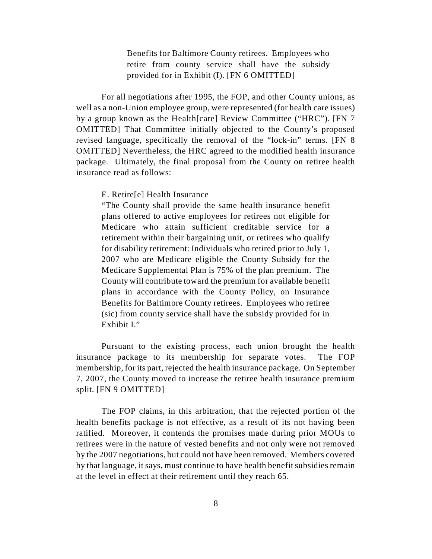Benefits for Baltimore County retirees. Employees who retire from county service shall have the subsidy provided for in Exhibit (I). [FN 6 OMITTED]

For all negotiations after 1995, the FOP, and other County unions, as well as a non-Union employee group, were represented (for health care issues) by a group known as the Health[care] Review Committee ("HRC"). [FN 7 OMITTED] That Committee initially objected to the County's proposed revised language, specifically the removal of the "lock-in" terms. [FN 8 OMITTED] Nevertheless, the HRC agreed to the modified health insurance package. Ultimately, the final proposal from the County on retiree health insurance read as follows:

E. Retire[e] Health Insurance

"The County shall provide the same health insurance benefit plans offered to active employees for retirees not eligible for Medicare who attain sufficient creditable service for a retirement within their bargaining unit, or retirees who qualify for disability retirement: Individuals who retired prior to July 1, 2007 who are Medicare eligible the County Subsidy for the Medicare Supplemental Plan is 75% of the plan premium. The County will contribute toward the premium for available benefit plans in accordance with the County Policy, on Insurance Benefits for Baltimore County retirees. Employees who retiree (sic) from county service shall have the subsidy provided for in Exhibit I."

Pursuant to the existing process, each union brought the health insurance package to its membership for separate votes. The FOP membership, for its part, rejected the health insurance package. On September 7, 2007, the County moved to increase the retiree health insurance premium split. [FN 9 OMITTED]

The FOP claims, in this arbitration, that the rejected portion of the health benefits package is not effective, as a result of its not having been ratified. Moreover, it contends the promises made during prior MOUs to retirees were in the nature of vested benefits and not only were not removed by the 2007 negotiations, but could not have been removed. Members covered by that language, it says, must continue to have health benefit subsidies remain at the level in effect at their retirement until they reach 65.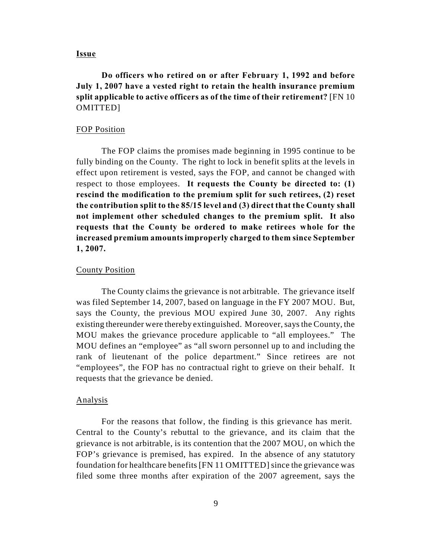#### **Issue**

**Do officers who retired on or after February 1, 1992 and before July 1, 2007 have a vested right to retain the health insurance premium split applicable to active officers as of the time of their retirement?** [FN 10 OMITTED]

#### FOP Position

The FOP claims the promises made beginning in 1995 continue to be fully binding on the County. The right to lock in benefit splits at the levels in effect upon retirement is vested, says the FOP, and cannot be changed with respect to those employees. **It requests the County be directed to: (1) rescind the modification to the premium split for such retirees, (2) reset the contribution split to the 85/15 level and (3) direct that the County shall not implement other scheduled changes to the premium split. It also requests that the County be ordered to make retirees whole for the increased premium amounts improperly charged to them since September 1, 2007.**

#### County Position

The County claims the grievance is not arbitrable. The grievance itself was filed September 14, 2007, based on language in the FY 2007 MOU. But, says the County, the previous MOU expired June 30, 2007. Any rights existing thereunder were thereby extinguished. Moreover, says the County, the MOU makes the grievance procedure applicable to "all employees." The MOU defines an "employee" as "all sworn personnel up to and including the rank of lieutenant of the police department." Since retirees are not "employees", the FOP has no contractual right to grieve on their behalf. It requests that the grievance be denied.

#### Analysis

For the reasons that follow, the finding is this grievance has merit. Central to the County's rebuttal to the grievance, and its claim that the grievance is not arbitrable, is its contention that the 2007 MOU, on which the FOP's grievance is premised, has expired. In the absence of any statutory foundation for healthcare benefits [FN 11 OMITTED] since the grievance was filed some three months after expiration of the 2007 agreement, says the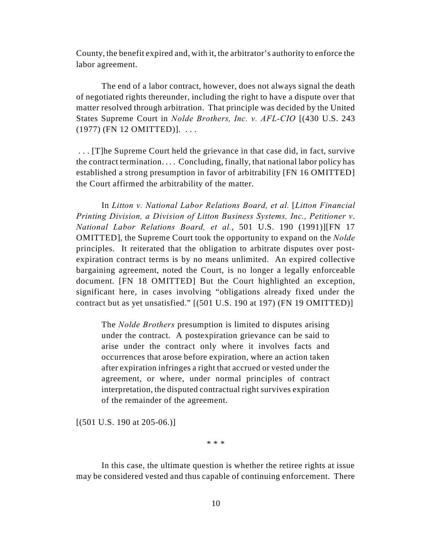County, the benefit expired and, with it, the arbitrator's authority to enforce the labor agreement.

The end of a labor contract, however, does not always signal the death of negotiated rights thereunder, including the right to have a dispute over that matter resolved through arbitration. That principle was decided by the United States Supreme Court in *Nolde Brothers, Inc. v. AFL-CIO* [(430 U.S. 243 (1977) (FN 12 OMITTED)]. . . .

 . . . [T]he Supreme Court held the grievance in that case did, in fact, survive the contract termination. . . . Concluding, finally, that national labor policy has established a strong presumption in favor of arbitrability [FN 16 OMITTED] the Court affirmed the arbitrability of the matter.

In *Litton v. National Labor Relations Board, et al. [Litton Financial Printing Division, a Division of Litton Business Systems, Inc., Petitioner v*. *National Labor Relations Board, et al.*, 501 U.S. 190 (1991)][FN 17 OMITTED], the Supreme Court took the opportunity to expand on the *Nolde* principles. It reiterated that the obligation to arbitrate disputes over postexpiration contract terms is by no means unlimited. An expired collective bargaining agreement, noted the Court, is no longer a legally enforceable document. [FN 18 OMITTED] But the Court highlighted an exception, significant here, in cases involving "obligations already fixed under the contract but as yet unsatisfied." [(501 U.S. 190 at 197) (FN 19 OMITTED)]

The *Nolde Brothers* presumption is limited to disputes arising under the contract. A postexpiration grievance can be said to arise under the contract only where it involves facts and occurrences that arose before expiration, where an action taken after expiration infringes a right that accrued or vested under the agreement, or where, under normal principles of contract interpretation, the disputed contractual right survives expiration of the remainder of the agreement.

 $[(501 \text{ U.S. } 190 \text{ at } 205-06.)]$ 

\* \* \*

In this case, the ultimate question is whether the retiree rights at issue may be considered vested and thus capable of continuing enforcement. There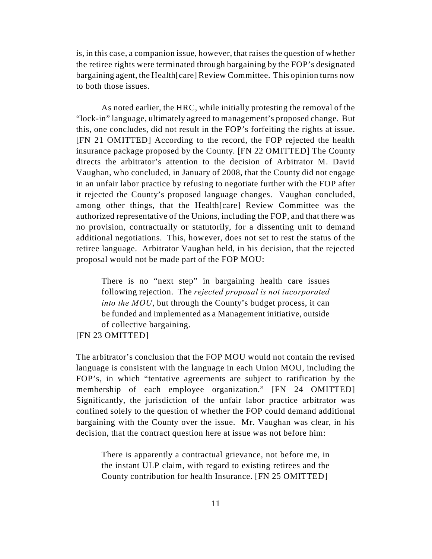is, in this case, a companion issue, however, that raises the question of whether the retiree rights were terminated through bargaining by the FOP's designated bargaining agent, the Health[care] Review Committee. This opinion turns now to both those issues.

As noted earlier, the HRC, while initially protesting the removal of the "lock-in" language, ultimately agreed to management's proposed change. But this, one concludes, did not result in the FOP's forfeiting the rights at issue. [FN 21 OMITTED] According to the record, the FOP rejected the health insurance package proposed by the County. [FN 22 OMITTED] The County directs the arbitrator's attention to the decision of Arbitrator M. David Vaughan, who concluded, in January of 2008, that the County did not engage in an unfair labor practice by refusing to negotiate further with the FOP after it rejected the County's proposed language changes. Vaughan concluded, among other things, that the Health[care] Review Committee was the authorized representative of the Unions, including the FOP, and that there was no provision, contractually or statutorily, for a dissenting unit to demand additional negotiations. This, however, does not set to rest the status of the retiree language. Arbitrator Vaughan held, in his decision, that the rejected proposal would not be made part of the FOP MOU:

There is no "next step" in bargaining health care issues following rejection. The *rejected proposal is not incorporated into the MOU*, but through the County's budget process, it can be funded and implemented as a Management initiative, outside of collective bargaining.

#### [FN 23 OMITTED]

The arbitrator's conclusion that the FOP MOU would not contain the revised language is consistent with the language in each Union MOU, including the FOP's, in which "tentative agreements are subject to ratification by the membership of each employee organization." [FN 24 OMITTED] Significantly, the jurisdiction of the unfair labor practice arbitrator was confined solely to the question of whether the FOP could demand additional bargaining with the County over the issue. Mr. Vaughan was clear, in his decision, that the contract question here at issue was not before him:

There is apparently a contractual grievance, not before me, in the instant ULP claim, with regard to existing retirees and the County contribution for health Insurance. [FN 25 OMITTED]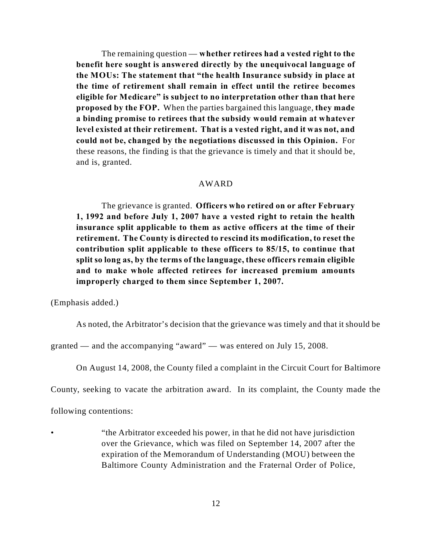The remaining question — **whether retirees had a vested right to the benefit here sought is answered directly by the unequivocal language of the MOUs: The statement that "the health Insurance subsidy in place at the time of retirement shall remain in effect until the retiree becomes eligible for Medicare" is subject to no interpretation other than that here proposed by the FOP.** When the parties bargained this language, **they made a binding promise to retirees that the subsidy would remain at whatever level existed at their retirement. That is a vested right, and it was not, and could not be, changed by the negotiations discussed in this Opinion.** For these reasons, the finding is that the grievance is timely and that it should be, and is, granted.

## AWARD

The grievance is granted. **Officers who retired on or after February 1, 1992 and before July 1, 2007 have a vested right to retain the health insurance split applicable to them as active officers at the time of their retirement. The County is directed to rescind its modification, to reset the contribution split applicable to these officers to 85/15, to continue that split so long as, by the terms of the language, these officers remain eligible and to make whole affected retirees for increased premium amounts improperly charged to them since September 1, 2007.**

(Emphasis added.)

As noted, the Arbitrator's decision that the grievance was timely and that it should be

granted — and the accompanying "award" — was entered on July 15, 2008.

On August 14, 2008, the County filed a complaint in the Circuit Court for Baltimore

County, seeking to vacate the arbitration award. In its complaint, the County made the

following contentions:

• "the Arbitrator exceeded his power, in that he did not have jurisdiction over the Grievance, which was filed on September 14, 2007 after the expiration of the Memorandum of Understanding (MOU) between the Baltimore County Administration and the Fraternal Order of Police,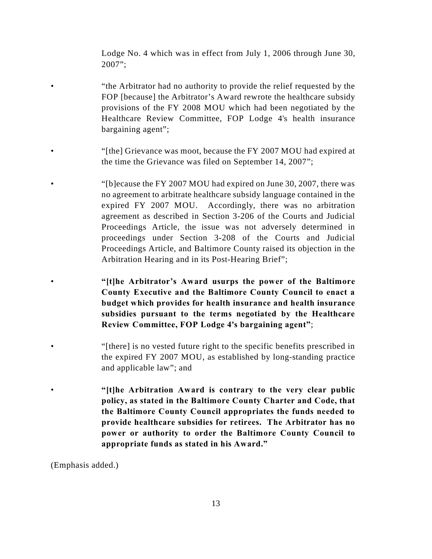Lodge No. 4 which was in effect from July 1, 2006 through June 30, 2007";

• "the Arbitrator had no authority to provide the relief requested by the FOP [because] the Arbitrator's Award rewrote the healthcare subsidy provisions of the FY 2008 MOU which had been negotiated by the Healthcare Review Committee, FOP Lodge 4's health insurance bargaining agent";

- "[the] Grievance was moot, because the FY 2007 MOU had expired at the time the Grievance was filed on September 14, 2007";
- "[b]ecause the FY 2007 MOU had expired on June 30, 2007, there was no agreement to arbitrate healthcare subsidy language contained in the expired FY 2007 MOU. Accordingly, there was no arbitration agreement as described in Section 3-206 of the Courts and Judicial Proceedings Article, the issue was not adversely determined in proceedings under Section 3-208 of the Courts and Judicial Proceedings Article, and Baltimore County raised its objection in the Arbitration Hearing and in its Post-Hearing Brief";
- **"[t]he Arbitrator's Award usurps the power of the Baltimore County Executive and the Baltimore County Council to enact a budget which provides for health insurance and health insurance subsidies pursuant to the terms negotiated by the Healthcare Review Committee, FOP Lodge 4's bargaining agent"**;
- "[there] is no vested future right to the specific benefits prescribed in the expired FY 2007 MOU, as established by long-standing practice and applicable law"; and
- **"[t]he Arbitration Award is contrary to the very clear public policy, as stated in the Baltimore County Charter and Code, that the Baltimore County Council appropriates the funds needed to provide healthcare subsidies for retirees. The Arbitrator has no power or authority to order the Baltimore County Council to appropriate funds as stated in his Award."**

(Emphasis added.)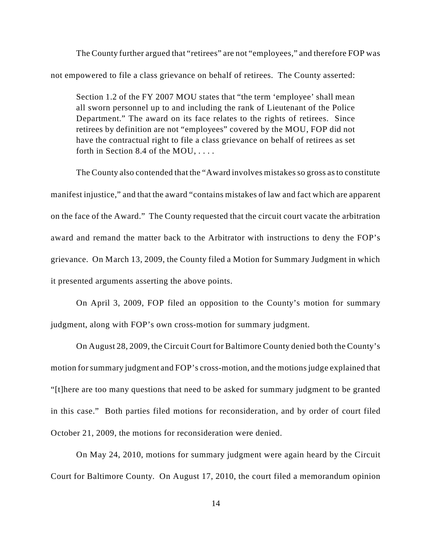The County further argued that "retirees" are not "employees," and therefore FOP was not empowered to file a class grievance on behalf of retirees. The County asserted:

Section 1.2 of the FY 2007 MOU states that "the term 'employee' shall mean all sworn personnel up to and including the rank of Lieutenant of the Police Department." The award on its face relates to the rights of retirees. Since retirees by definition are not "employees" covered by the MOU, FOP did not have the contractual right to file a class grievance on behalf of retirees as set forth in Section 8.4 of the MOU, . . . .

The County also contended that the "Award involves mistakes so gross as to constitute manifest injustice," and that the award "contains mistakes of law and fact which are apparent on the face of the Award." The County requested that the circuit court vacate the arbitration award and remand the matter back to the Arbitrator with instructions to deny the FOP's grievance. On March 13, 2009, the County filed a Motion for Summary Judgment in which it presented arguments asserting the above points.

On April 3, 2009, FOP filed an opposition to the County's motion for summary judgment, along with FOP's own cross-motion for summary judgment.

On August 28, 2009, the Circuit Court for Baltimore County denied both the County's motion for summary judgment and FOP's cross-motion, and the motions judge explained that "[t]here are too many questions that need to be asked for summary judgment to be granted in this case." Both parties filed motions for reconsideration, and by order of court filed October 21, 2009, the motions for reconsideration were denied.

On May 24, 2010, motions for summary judgment were again heard by the Circuit Court for Baltimore County. On August 17, 2010, the court filed a memorandum opinion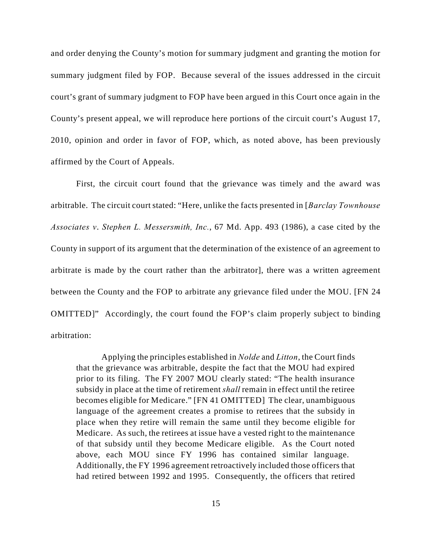and order denying the County's motion for summary judgment and granting the motion for summary judgment filed by FOP. Because several of the issues addressed in the circuit court's grant of summary judgment to FOP have been argued in this Court once again in the County's present appeal, we will reproduce here portions of the circuit court's August 17, 2010, opinion and order in favor of FOP, which, as noted above, has been previously affirmed by the Court of Appeals.

First, the circuit court found that the grievance was timely and the award was arbitrable. The circuit court stated: "Here, unlike the facts presented in [*Barclay Townhouse Associates v*. *Stephen L. Messersmith, Inc.*, 67 Md. App. 493 (1986), a case cited by the County in support of its argument that the determination of the existence of an agreement to arbitrate is made by the court rather than the arbitrator], there was a written agreement between the County and the FOP to arbitrate any grievance filed under the MOU. [FN 24 OMITTED]" Accordingly, the court found the FOP's claim properly subject to binding arbitration:

Applying the principles established in *Nolde* and *Litton*, the Court finds that the grievance was arbitrable, despite the fact that the MOU had expired prior to its filing. The FY 2007 MOU clearly stated: "The health insurance subsidy in place at the time of retirement *shall* remain in effect until the retiree becomes eligible for Medicare." [FN 41 OMITTED] The clear, unambiguous language of the agreement creates a promise to retirees that the subsidy in place when they retire will remain the same until they become eligible for Medicare. As such, the retirees at issue have a vested right to the maintenance of that subsidy until they become Medicare eligible. As the Court noted above, each MOU since FY 1996 has contained similar language. Additionally, the FY 1996 agreement retroactively included those officers that had retired between 1992 and 1995. Consequently, the officers that retired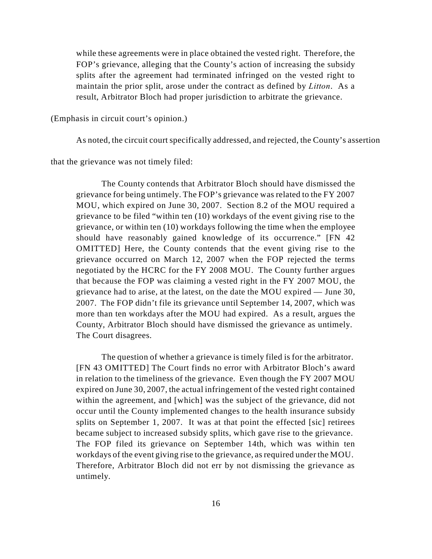while these agreements were in place obtained the vested right. Therefore, the FOP's grievance, alleging that the County's action of increasing the subsidy splits after the agreement had terminated infringed on the vested right to maintain the prior split, arose under the contract as defined by *Litton*. As a result, Arbitrator Bloch had proper jurisdiction to arbitrate the grievance.

(Emphasis in circuit court's opinion.)

As noted, the circuit court specifically addressed, and rejected, the County's assertion

that the grievance was not timely filed:

The County contends that Arbitrator Bloch should have dismissed the grievance for being untimely. The FOP's grievance was related to the FY 2007 MOU, which expired on June 30, 2007. Section 8.2 of the MOU required a grievance to be filed "within ten (10) workdays of the event giving rise to the grievance, or within ten (10) workdays following the time when the employee should have reasonably gained knowledge of its occurrence." [FN 42 OMITTED] Here, the County contends that the event giving rise to the grievance occurred on March 12, 2007 when the FOP rejected the terms negotiated by the HCRC for the FY 2008 MOU. The County further argues that because the FOP was claiming a vested right in the FY 2007 MOU, the grievance had to arise, at the latest, on the date the MOU expired — June 30, 2007. The FOP didn't file its grievance until September 14, 2007, which was more than ten workdays after the MOU had expired. As a result, argues the County, Arbitrator Bloch should have dismissed the grievance as untimely. The Court disagrees.

The question of whether a grievance is timely filed is for the arbitrator. [FN 43 OMITTED] The Court finds no error with Arbitrator Bloch's award in relation to the timeliness of the grievance. Even though the FY 2007 MOU expired on June 30, 2007, the actual infringement of the vested right contained within the agreement, and [which] was the subject of the grievance, did not occur until the County implemented changes to the health insurance subsidy splits on September 1, 2007. It was at that point the effected [sic] retirees became subject to increased subsidy splits, which gave rise to the grievance. The FOP filed its grievance on September 14th, which was within ten workdays of the event giving rise to the grievance, as required under the MOU. Therefore, Arbitrator Bloch did not err by not dismissing the grievance as untimely.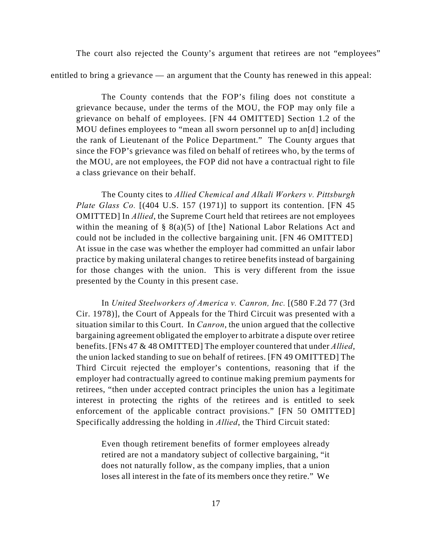The court also rejected the County's argument that retirees are not "employees"

entitled to bring a grievance — an argument that the County has renewed in this appeal:

The County contends that the FOP's filing does not constitute a grievance because, under the terms of the MOU, the FOP may only file a grievance on behalf of employees. [FN 44 OMITTED] Section 1.2 of the MOU defines employees to "mean all sworn personnel up to an<sup>[d]</sup> including the rank of Lieutenant of the Police Department." The County argues that since the FOP's grievance was filed on behalf of retirees who, by the terms of the MOU, are not employees, the FOP did not have a contractual right to file a class grievance on their behalf.

The County cites to *Allied Chemical and Alkali Workers v. Pittsburgh Plate Glass Co.* [(404 U.S. 157 (1971)] to support its contention. [FN 45] OMITTED] In *Allied*, the Supreme Court held that retirees are not employees within the meaning of  $\S$  8(a)(5) of [the] National Labor Relations Act and could not be included in the collective bargaining unit. [FN 46 OMITTED] At issue in the case was whether the employer had committed an unfair labor practice by making unilateral changes to retiree benefits instead of bargaining for those changes with the union. This is very different from the issue presented by the County in this present case.

In *United Steelworkers of America v. Canron, Inc.* [(580 F.2d 77 (3rd Cir. 1978)], the Court of Appeals for the Third Circuit was presented with a situation similar to this Court. In *Canron*, the union argued that the collective bargaining agreement obligated the employer to arbitrate a dispute over retiree benefits. [FNs 47 & 48 OMITTED] The employer countered that under *Allied*, the union lacked standing to sue on behalf of retirees. [FN 49 OMITTED] The Third Circuit rejected the employer's contentions, reasoning that if the employer had contractually agreed to continue making premium payments for retirees, "then under accepted contract principles the union has a legitimate interest in protecting the rights of the retirees and is entitled to seek enforcement of the applicable contract provisions." [FN 50 OMITTED] Specifically addressing the holding in *Allied*, the Third Circuit stated:

Even though retirement benefits of former employees already retired are not a mandatory subject of collective bargaining, "it does not naturally follow, as the company implies, that a union loses all interest in the fate of its members once they retire." We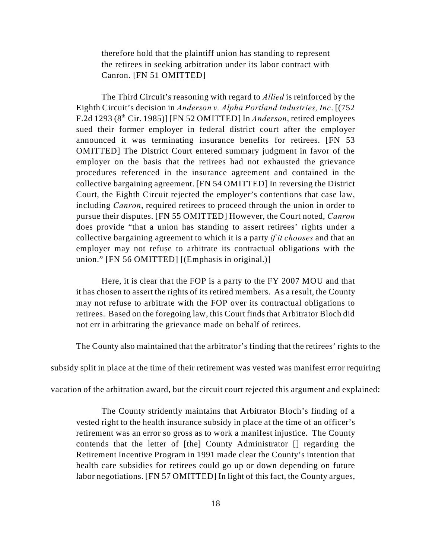therefore hold that the plaintiff union has standing to represent the retirees in seeking arbitration under its labor contract with Canron. [FN 51 OMITTED]

The Third Circuit's reasoning with regard to *Allied* is reinforced by the Eighth Circuit's decision in *Anderson v. Alpha Portland Industries, Inc*. [(752 F.2d 1293 ( $8<sup>th</sup>$  Cir. 1985)] [FN 52 OMITTED] In *Anderson*, retired employees sued their former employer in federal district court after the employer announced it was terminating insurance benefits for retirees. [FN 53 OMITTED] The District Court entered summary judgment in favor of the employer on the basis that the retirees had not exhausted the grievance procedures referenced in the insurance agreement and contained in the collective bargaining agreement. [FN 54 OMITTED] In reversing the District Court, the Eighth Circuit rejected the employer's contentions that case law, including *Canron*, required retirees to proceed through the union in order to pursue their disputes. [FN 55 OMITTED] However, the Court noted, *Canron* does provide "that a union has standing to assert retirees' rights under a collective bargaining agreement to which it is a party *if it chooses* and that an employer may not refuse to arbitrate its contractual obligations with the union." [FN 56 OMITTED] [(Emphasis in original.)]

Here, it is clear that the FOP is a party to the FY 2007 MOU and that it has chosen to assert the rights of its retired members. As a result, the County may not refuse to arbitrate with the FOP over its contractual obligations to retirees. Based on the foregoing law, this Court finds that Arbitrator Bloch did not err in arbitrating the grievance made on behalf of retirees.

The County also maintained that the arbitrator's finding that the retirees' rights to the

subsidy split in place at the time of their retirement was vested was manifest error requiring

vacation of the arbitration award, but the circuit court rejected this argument and explained:

The County stridently maintains that Arbitrator Bloch's finding of a vested right to the health insurance subsidy in place at the time of an officer's retirement was an error so gross as to work a manifest injustice. The County contends that the letter of [the] County Administrator [] regarding the Retirement Incentive Program in 1991 made clear the County's intention that health care subsidies for retirees could go up or down depending on future labor negotiations. [FN 57 OMITTED] In light of this fact, the County argues,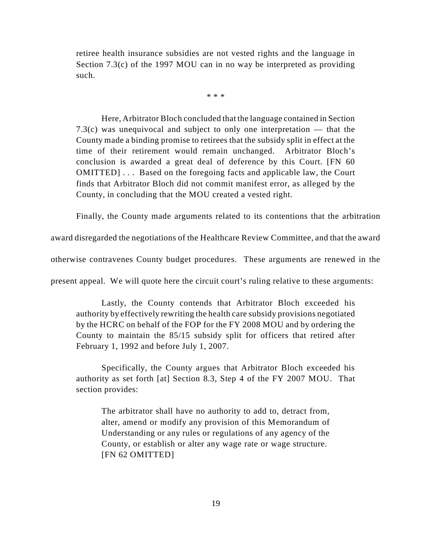retiree health insurance subsidies are not vested rights and the language in Section 7.3(c) of the 1997 MOU can in no way be interpreted as providing such.

\* \* \*

Here, Arbitrator Bloch concluded that the language contained in Section 7.3(c) was unequivocal and subject to only one interpretation — that the County made a binding promise to retirees that the subsidy split in effect at the time of their retirement would remain unchanged. Arbitrator Bloch's conclusion is awarded a great deal of deference by this Court. [FN 60 OMITTED] . . . Based on the foregoing facts and applicable law, the Court finds that Arbitrator Bloch did not commit manifest error, as alleged by the County, in concluding that the MOU created a vested right.

Finally, the County made arguments related to its contentions that the arbitration

award disregarded the negotiations of the Healthcare Review Committee, and that the award

otherwise contravenes County budget procedures. These arguments are renewed in the

present appeal. We will quote here the circuit court's ruling relative to these arguments:

Lastly, the County contends that Arbitrator Bloch exceeded his authority by effectively rewriting the health care subsidy provisions negotiated by the HCRC on behalf of the FOP for the FY 2008 MOU and by ordering the County to maintain the 85/15 subsidy split for officers that retired after February 1, 1992 and before July 1, 2007.

Specifically, the County argues that Arbitrator Bloch exceeded his authority as set forth [at] Section 8.3, Step 4 of the FY 2007 MOU. That section provides:

The arbitrator shall have no authority to add to, detract from, alter, amend or modify any provision of this Memorandum of Understanding or any rules or regulations of any agency of the County, or establish or alter any wage rate or wage structure. [FN 62 OMITTED]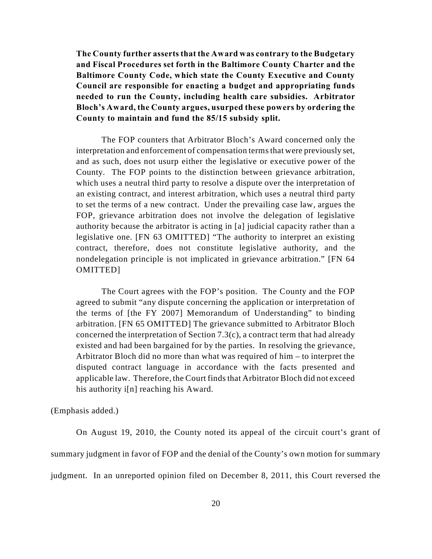**The County further asserts that the Award was contrary to the Budgetary and Fiscal Procedures set forth in the Baltimore County Charter and the Baltimore County Code, which state the County Executive and County Council are responsible for enacting a budget and appropriating funds needed to run the County, including health care subsidies. Arbitrator Bloch's Award, the County argues, usurped these powers by ordering the County to maintain and fund the 85/15 subsidy split.**

The FOP counters that Arbitrator Bloch's Award concerned only the interpretation and enforcement of compensation terms that were previously set, and as such, does not usurp either the legislative or executive power of the County. The FOP points to the distinction between grievance arbitration, which uses a neutral third party to resolve a dispute over the interpretation of an existing contract, and interest arbitration, which uses a neutral third party to set the terms of a new contract. Under the prevailing case law, argues the FOP, grievance arbitration does not involve the delegation of legislative authority because the arbitrator is acting in [a] judicial capacity rather than a legislative one. [FN 63 OMITTED] "The authority to interpret an existing contract, therefore, does not constitute legislative authority, and the nondelegation principle is not implicated in grievance arbitration." [FN 64 OMITTED]

The Court agrees with the FOP's position. The County and the FOP agreed to submit "any dispute concerning the application or interpretation of the terms of [the FY 2007] Memorandum of Understanding" to binding arbitration. [FN 65 OMITTED] The grievance submitted to Arbitrator Bloch concerned the interpretation of Section 7.3(c), a contract term that had already existed and had been bargained for by the parties. In resolving the grievance, Arbitrator Bloch did no more than what was required of him – to interpret the disputed contract language in accordance with the facts presented and applicable law. Therefore, the Court finds that Arbitrator Bloch did not exceed his authority i[n] reaching his Award.

(Emphasis added.)

On August 19, 2010, the County noted its appeal of the circuit court's grant of summary judgment in favor of FOP and the denial of the County's own motion for summary judgment. In an unreported opinion filed on December 8, 2011, this Court reversed the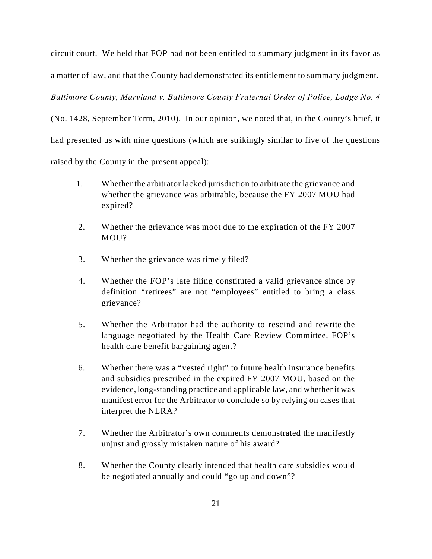circuit court. We held that FOP had not been entitled to summary judgment in its favor as a matter of law, and that the County had demonstrated its entitlement to summary judgment.

*Baltimore County, Maryland v. Baltimore County Fraternal Order of Police, Lodge No. 4*

(No. 1428, September Term, 2010). In our opinion, we noted that, in the County's brief, it had presented us with nine questions (which are strikingly similar to five of the questions raised by the County in the present appeal):

- 1. Whether the arbitrator lacked jurisdiction to arbitrate the grievance and whether the grievance was arbitrable, because the FY 2007 MOU had expired?
- 2. Whether the grievance was moot due to the expiration of the FY 2007 MOU?
- 3. Whether the grievance was timely filed?
- 4. Whether the FOP's late filing constituted a valid grievance since by definition "retirees" are not "employees" entitled to bring a class grievance?
- 5. Whether the Arbitrator had the authority to rescind and rewrite the language negotiated by the Health Care Review Committee, FOP's health care benefit bargaining agent?
- 6. Whether there was a "vested right" to future health insurance benefits and subsidies prescribed in the expired FY 2007 MOU, based on the evidence, long-standing practice and applicable law, and whether it was manifest error for the Arbitrator to conclude so by relying on cases that interpret the NLRA?
- 7. Whether the Arbitrator's own comments demonstrated the manifestly unjust and grossly mistaken nature of his award?
- 8. Whether the County clearly intended that health care subsidies would be negotiated annually and could "go up and down"?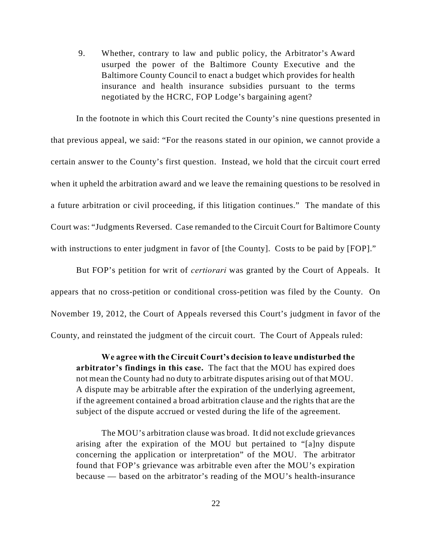9. Whether, contrary to law and public policy, the Arbitrator's Award usurped the power of the Baltimore County Executive and the Baltimore County Council to enact a budget which provides for health insurance and health insurance subsidies pursuant to the terms negotiated by the HCRC, FOP Lodge's bargaining agent?

In the footnote in which this Court recited the County's nine questions presented in that previous appeal, we said: "For the reasons stated in our opinion, we cannot provide a certain answer to the County's first question. Instead, we hold that the circuit court erred when it upheld the arbitration award and we leave the remaining questions to be resolved in a future arbitration or civil proceeding, if this litigation continues." The mandate of this Court was: "Judgments Reversed. Case remanded to the Circuit Court for Baltimore County with instructions to enter judgment in favor of [the County]. Costs to be paid by [FOP]."

But FOP's petition for writ of *certiorari* was granted by the Court of Appeals. It appears that no cross-petition or conditional cross-petition was filed by the County. On November 19, 2012, the Court of Appeals reversed this Court's judgment in favor of the County, and reinstated the judgment of the circuit court. The Court of Appeals ruled:

**We agree with the Circuit Court's decision to leave undisturbed the arbitrator's findings in this case.** The fact that the MOU has expired does not mean the County had no duty to arbitrate disputes arising out of that MOU. A dispute may be arbitrable after the expiration of the underlying agreement, if the agreement contained a broad arbitration clause and the rights that are the subject of the dispute accrued or vested during the life of the agreement.

The MOU's arbitration clause was broad. It did not exclude grievances arising after the expiration of the MOU but pertained to "[a]ny dispute concerning the application or interpretation" of the MOU. The arbitrator found that FOP's grievance was arbitrable even after the MOU's expiration because — based on the arbitrator's reading of the MOU's health-insurance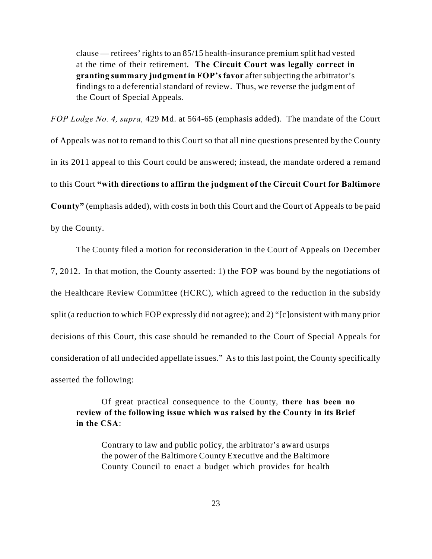clause — retirees' rights to an 85/15 health-insurance premium split had vested at the time of their retirement. **The Circuit Court was legally correct in granting summary judgment in FOP's favor** after subjecting the arbitrator's findings to a deferential standard of review. Thus, we reverse the judgment of the Court of Special Appeals.

*FOP Lodge No. 4, supra,* 429 Md. at 564-65 (emphasis added). The mandate of the Court of Appeals was not to remand to this Court so that all nine questions presented by the County in its 2011 appeal to this Court could be answered; instead, the mandate ordered a remand to this Court **"with directions to affirm the judgment of the Circuit Court for Baltimore County"** (emphasis added), with costs in both this Court and the Court of Appeals to be paid by the County.

The County filed a motion for reconsideration in the Court of Appeals on December 7, 2012. In that motion, the County asserted: 1) the FOP was bound by the negotiations of the Healthcare Review Committee (HCRC), which agreed to the reduction in the subsidy split (a reduction to which FOP expressly did not agree); and 2) "[c]onsistent with many prior decisions of this Court, this case should be remanded to the Court of Special Appeals for consideration of all undecided appellate issues." As to this last point, the County specifically asserted the following:

Of great practical consequence to the County, **there has been no review of the following issue which was raised by the County in its Brief in the CSA**:

Contrary to law and public policy, the arbitrator's award usurps the power of the Baltimore County Executive and the Baltimore County Council to enact a budget which provides for health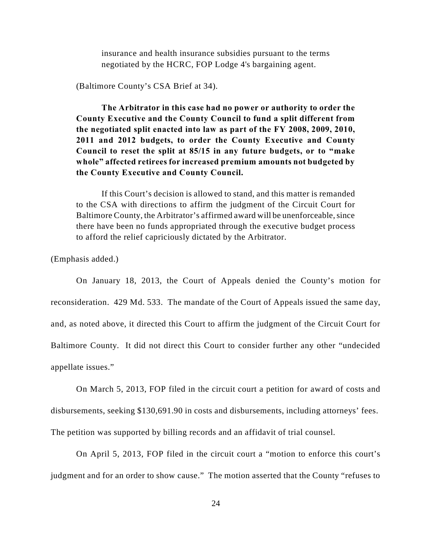insurance and health insurance subsidies pursuant to the terms negotiated by the HCRC, FOP Lodge 4's bargaining agent.

(Baltimore County's CSA Brief at 34).

**The Arbitrator in this case had no power or authority to order the County Executive and the County Council to fund a split different from the negotiated split enacted into law as part of the FY 2008, 2009, 2010, 2011 and 2012 budgets, to order the County Executive and County Council to reset the split at 85/15 in any future budgets, or to "make whole" affected retirees for increased premium amounts not budgeted by the County Executive and County Council.**

If this Court's decision is allowed to stand, and this matter is remanded to the CSA with directions to affirm the judgment of the Circuit Court for Baltimore County, the Arbitrator's affirmed award will be unenforceable, since there have been no funds appropriated through the executive budget process to afford the relief capriciously dictated by the Arbitrator.

(Emphasis added.)

On January 18, 2013, the Court of Appeals denied the County's motion for reconsideration. 429 Md. 533. The mandate of the Court of Appeals issued the same day, and, as noted above, it directed this Court to affirm the judgment of the Circuit Court for Baltimore County. It did not direct this Court to consider further any other "undecided appellate issues."

On March 5, 2013, FOP filed in the circuit court a petition for award of costs and disbursements, seeking \$130,691.90 in costs and disbursements, including attorneys' fees. The petition was supported by billing records and an affidavit of trial counsel.

On April 5, 2013, FOP filed in the circuit court a "motion to enforce this court's judgment and for an order to show cause." The motion asserted that the County "refuses to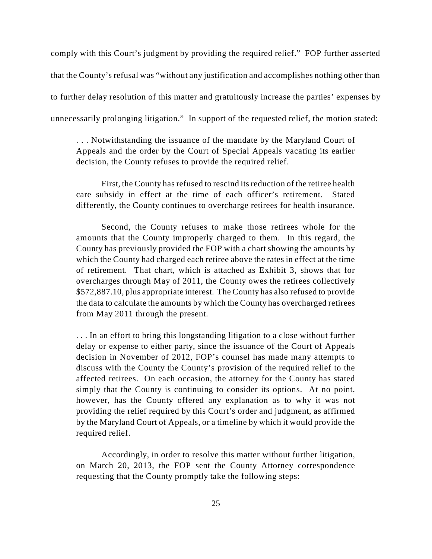comply with this Court's judgment by providing the required relief." FOP further asserted that the County's refusal was "without any justification and accomplishes nothing other than to further delay resolution of this matter and gratuitously increase the parties' expenses by unnecessarily prolonging litigation." In support of the requested relief, the motion stated:

. . . Notwithstanding the issuance of the mandate by the Maryland Court of Appeals and the order by the Court of Special Appeals vacating its earlier decision, the County refuses to provide the required relief.

First, the County has refused to rescind its reduction of the retiree health care subsidy in effect at the time of each officer's retirement. Stated differently, the County continues to overcharge retirees for health insurance.

Second, the County refuses to make those retirees whole for the amounts that the County improperly charged to them. In this regard, the County has previously provided the FOP with a chart showing the amounts by which the County had charged each retiree above the rates in effect at the time of retirement. That chart, which is attached as Exhibit 3, shows that for overcharges through May of 2011, the County owes the retirees collectively \$572,887.10, plus appropriate interest. The County has also refused to provide the data to calculate the amounts by which the County has overcharged retirees from May 2011 through the present.

. . . In an effort to bring this longstanding litigation to a close without further delay or expense to either party, since the issuance of the Court of Appeals decision in November of 2012, FOP's counsel has made many attempts to discuss with the County the County's provision of the required relief to the affected retirees. On each occasion, the attorney for the County has stated simply that the County is continuing to consider its options. At no point, however, has the County offered any explanation as to why it was not providing the relief required by this Court's order and judgment, as affirmed by the Maryland Court of Appeals, or a timeline by which it would provide the required relief.

Accordingly, in order to resolve this matter without further litigation, on March 20, 2013, the FOP sent the County Attorney correspondence requesting that the County promptly take the following steps: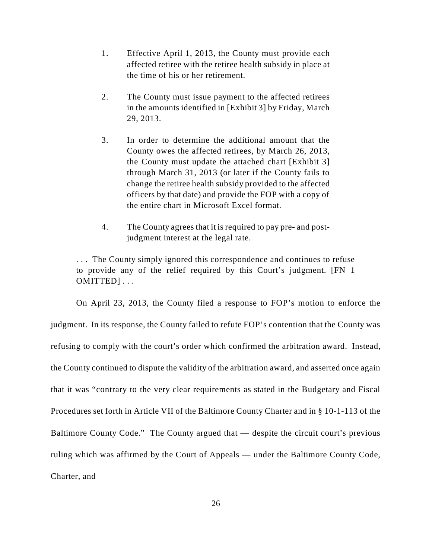- 1. Effective April 1, 2013, the County must provide each affected retiree with the retiree health subsidy in place at the time of his or her retirement.
- 2. The County must issue payment to the affected retirees in the amounts identified in [Exhibit 3] by Friday, March 29, 2013.
- 3. In order to determine the additional amount that the County owes the affected retirees, by March 26, 2013, the County must update the attached chart [Exhibit 3] through March 31, 2013 (or later if the County fails to change the retiree health subsidy provided to the affected officers by that date) and provide the FOP with a copy of the entire chart in Microsoft Excel format.
- 4. The County agrees that it is required to pay pre- and postjudgment interest at the legal rate.

. . . The County simply ignored this correspondence and continues to refuse to provide any of the relief required by this Court's judgment. [FN 1 OMITTED] . . .

On April 23, 2013, the County filed a response to FOP's motion to enforce the judgment. In its response, the County failed to refute FOP's contention that the County was refusing to comply with the court's order which confirmed the arbitration award. Instead, the County continued to dispute the validity of the arbitration award, and asserted once again that it was "contrary to the very clear requirements as stated in the Budgetary and Fiscal Procedures set forth in Article VII of the Baltimore County Charter and in § 10-1-113 of the Baltimore County Code." The County argued that — despite the circuit court's previous ruling which was affirmed by the Court of Appeals — under the Baltimore County Code, Charter, and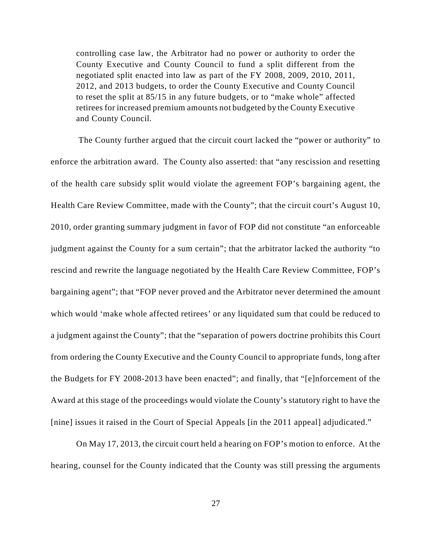controlling case law, the Arbitrator had no power or authority to order the County Executive and County Council to fund a split different from the negotiated split enacted into law as part of the FY 2008, 2009, 2010, 2011, 2012, and 2013 budgets, to order the County Executive and County Council to reset the split at 85/15 in any future budgets, or to "make whole" affected retirees for increased premium amounts not budgeted by the County Executive and County Council.

 The County further argued that the circuit court lacked the "power or authority" to enforce the arbitration award. The County also asserted: that "any rescission and resetting of the health care subsidy split would violate the agreement FOP's bargaining agent, the Health Care Review Committee, made with the County"; that the circuit court's August 10, 2010, order granting summary judgment in favor of FOP did not constitute "an enforceable judgment against the County for a sum certain"; that the arbitrator lacked the authority "to rescind and rewrite the language negotiated by the Health Care Review Committee, FOP's bargaining agent"; that "FOP never proved and the Arbitrator never determined the amount which would 'make whole affected retirees' or any liquidated sum that could be reduced to a judgment against the County"; that the "separation of powers doctrine prohibits this Court from ordering the County Executive and the County Council to appropriate funds, long after the Budgets for FY 2008-2013 have been enacted"; and finally, that "[e]nforcement of the Award at this stage of the proceedings would violate the County's statutory right to have the [nine] issues it raised in the Court of Special Appeals [in the 2011 appeal] adjudicated."

On May 17, 2013, the circuit court held a hearing on FOP's motion to enforce. At the hearing, counsel for the County indicated that the County was still pressing the arguments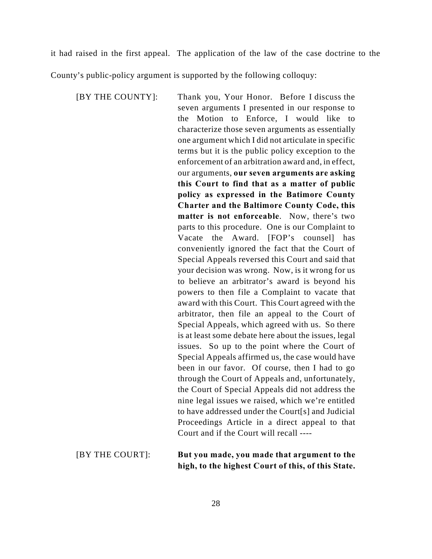it had raised in the first appeal. The application of the law of the case doctrine to the

County's public-policy argument is supported by the following colloquy:

[BY THE COUNTY]: Thank you, Your Honor. Before I discuss the seven arguments I presented in our response to the Motion to Enforce, I would like to characterize those seven arguments as essentially one argument which I did not articulate in specific terms but it is the public policy exception to the enforcement of an arbitration award and, in effect, our arguments, **our seven arguments are asking this Court to find that as a matter of public policy as expressed in the Batimore County Charter and the Baltimore County Code, this matter is not enforceable**. Now, there's two parts to this procedure. One is our Complaint to Vacate the Award. [FOP's counsel] has conveniently ignored the fact that the Court of Special Appeals reversed this Court and said that your decision was wrong. Now, is it wrong for us to believe an arbitrator's award is beyond his powers to then file a Complaint to vacate that award with this Court. This Court agreed with the arbitrator, then file an appeal to the Court of Special Appeals, which agreed with us. So there is at least some debate here about the issues, legal issues. So up to the point where the Court of Special Appeals affirmed us, the case would have been in our favor. Of course, then I had to go through the Court of Appeals and, unfortunately, the Court of Special Appeals did not address the nine legal issues we raised, which we're entitled to have addressed under the Court[s] and Judicial Proceedings Article in a direct appeal to that Court and if the Court will recall ----

# [BY THE COURT]: **But you made, you made that argument to the high, to the highest Court of this, of this State.**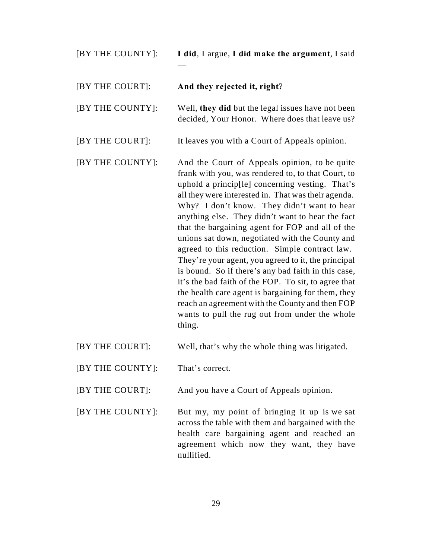| [BY THE COUNTY]: | I did, I argue, I did make the argument, I said                                                                                                                                                                                                                                                                                                                                                                                                                                                                                                                                                                                                                                                                                                                                                                      |
|------------------|----------------------------------------------------------------------------------------------------------------------------------------------------------------------------------------------------------------------------------------------------------------------------------------------------------------------------------------------------------------------------------------------------------------------------------------------------------------------------------------------------------------------------------------------------------------------------------------------------------------------------------------------------------------------------------------------------------------------------------------------------------------------------------------------------------------------|
| [BY THE COURT]:  | And they rejected it, right?                                                                                                                                                                                                                                                                                                                                                                                                                                                                                                                                                                                                                                                                                                                                                                                         |
| [BY THE COUNTY]: | Well, they did but the legal issues have not been<br>decided, Your Honor. Where does that leave us?                                                                                                                                                                                                                                                                                                                                                                                                                                                                                                                                                                                                                                                                                                                  |
| [BY THE COURT]:  | It leaves you with a Court of Appeals opinion.                                                                                                                                                                                                                                                                                                                                                                                                                                                                                                                                                                                                                                                                                                                                                                       |
| [BY THE COUNTY]: | And the Court of Appeals opinion, to be quite<br>frank with you, was rendered to, to that Court, to<br>uphold a princip[le] concerning vesting. That's<br>all they were interested in. That was their agenda.<br>Why? I don't know. They didn't want to hear<br>anything else. They didn't want to hear the fact<br>that the bargaining agent for FOP and all of the<br>unions sat down, negotiated with the County and<br>agreed to this reduction. Simple contract law.<br>They're your agent, you agreed to it, the principal<br>is bound. So if there's any bad faith in this case,<br>it's the bad faith of the FOP. To sit, to agree that<br>the health care agent is bargaining for them, they<br>reach an agreement with the County and then FOP<br>wants to pull the rug out from under the whole<br>thing. |
|                  |                                                                                                                                                                                                                                                                                                                                                                                                                                                                                                                                                                                                                                                                                                                                                                                                                      |

[BY THE COURT]: Well, that's why the whole thing was litigated.

[BY THE COUNTY]: That's correct.

[BY THE COURT]: And you have a Court of Appeals opinion.

[BY THE COUNTY]: But my, my point of bringing it up is we sat across the table with them and bargained with the health care bargaining agent and reached an agreement which now they want, they have nullified.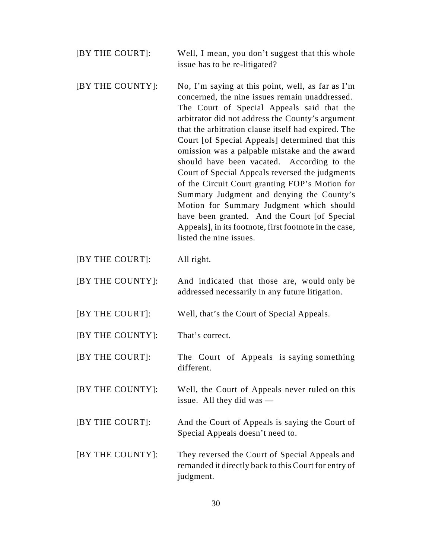- [BY THE COURT]: Well, I mean, you don't suggest that this whole issue has to be re-litigated?
- [BY THE COUNTY]: No, I'm saying at this point, well, as far as I'm concerned, the nine issues remain unaddressed. The Court of Special Appeals said that the arbitrator did not address the County's argument that the arbitration clause itself had expired. The Court [of Special Appeals] determined that this omission was a palpable mistake and the award should have been vacated. According to the Court of Special Appeals reversed the judgments of the Circuit Court granting FOP's Motion for Summary Judgment and denying the County's Motion for Summary Judgment which should have been granted. And the Court [of Special Appeals], in its footnote, first footnote in the case, listed the nine issues.
- [BY THE COURT]: All right.
- [BY THE COUNTY]: And indicated that those are, would only be addressed necessarily in any future litigation.
- [BY THE COURT]: Well, that's the Court of Special Appeals.
- [BY THE COUNTY]: That's correct.
- [BY THE COURT]: The Court of Appeals is saying something different.
- [BY THE COUNTY]: Well, the Court of Appeals never ruled on this issue. All they did was —
- [BY THE COURT]: And the Court of Appeals is saying the Court of Special Appeals doesn't need to.
- [BY THE COUNTY]: They reversed the Court of Special Appeals and remanded it directly back to this Court for entry of judgment.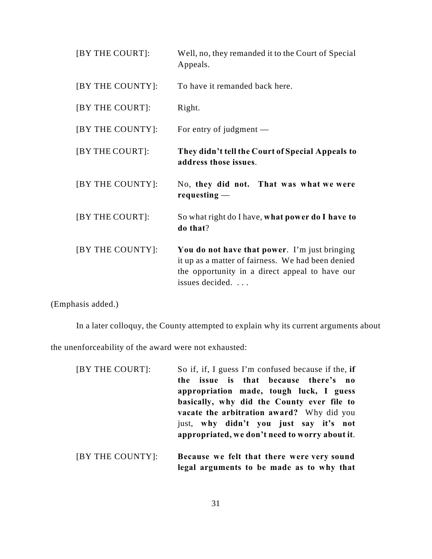| [BY THE COURT]:  | Well, no, they remanded it to the Court of Special<br>Appeals.                                                                                                          |
|------------------|-------------------------------------------------------------------------------------------------------------------------------------------------------------------------|
| [BY THE COUNTY]: | To have it remanded back here.                                                                                                                                          |
| [BY THE COURT]:  | Right.                                                                                                                                                                  |
| [BY THE COUNTY]: | For entry of judgment $-$                                                                                                                                               |
| [BY THE COURT]:  | They didn't tell the Court of Special Appeals to<br>address those issues.                                                                                               |
| [BY THE COUNTY]: | No, they did not. That was what we were<br>requesting $-$                                                                                                               |
| [BY THE COURT]:  | So what right do I have, what power do I have to<br>do that?                                                                                                            |
| [BY THE COUNTY]: | You do not have that power. I'm just bringing<br>it up as a matter of fairness. We had been denied<br>the opportunity in a direct appeal to have our<br>issues decided. |

(Emphasis added.)

In a later colloquy, the County attempted to explain why its current arguments about

the unenforceability of the award were not exhausted:

| [BY THE COURT]:                                                                                                                                | So if, if, I guess I'm confused because if the, if                       |
|------------------------------------------------------------------------------------------------------------------------------------------------|--------------------------------------------------------------------------|
|                                                                                                                                                | issue is that because there's no<br>the                                  |
|                                                                                                                                                | appropriation made, tough luck, I guess                                  |
|                                                                                                                                                | basically, why did the County ever file to                               |
|                                                                                                                                                | vacate the arbitration award? Why did you                                |
|                                                                                                                                                | just, why didn't you just say it's not                                   |
|                                                                                                                                                | appropriated, we don't need to worry about it.                           |
|                                                                                                                                                |                                                                          |
| $\mathbf{m}$ $\mathbf{r}$ $\mathbf{m}$ $\mathbf{r}$ $\mathbf{m}$ $\mathbf{r}$ $\mathbf{m}$ $\mathbf{r}$ $\mathbf{m}$ $\mathbf{r}$ $\mathbf{r}$ | $\mathbf{r}$ , $\mathbf{r}$ , $\mathbf{r}$ , $\mathbf{r}$ , $\mathbf{r}$ |

[BY THE COUNTY]: **Because we felt that there were very sound legal arguments to be made as to why that**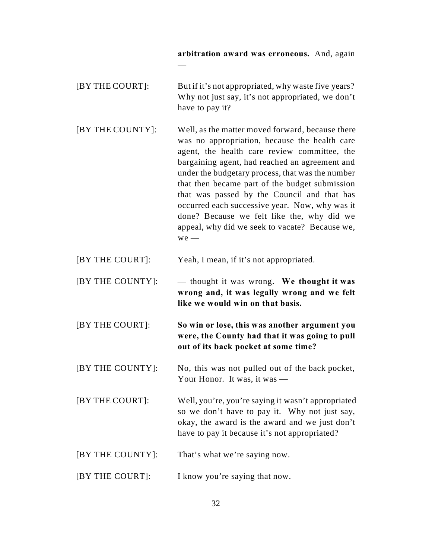## **arbitration award was erroneous.** And, again

| [BY THE COURT]: | But if it's not appropriated, why waste five years? |
|-----------------|-----------------------------------------------------|
|                 | Why not just say, it's not appropriated, we don't   |
|                 | have to pay it?                                     |

—

[BY THE COUNTY]: Well, as the matter moved forward, because there was no appropriation, because the health care agent, the health care review committee, the bargaining agent, had reached an agreement and under the budgetary process, that was the number that then became part of the budget submission that was passed by the Council and that has occurred each successive year. Now, why was it done? Because we felt like the, why did we appeal, why did we seek to vacate? Because we, we —

- [BY THE COURT]: Yeah, I mean, if it's not appropriated.
- [BY THE COUNTY]: thought it was wrong. **We thought it was wrong and, it was legally wrong and we felt like we would win on that basis.**

[BY THE COURT]: **So win or lose, this was another argument you were, the County had that it was going to pull out of its back pocket at some time?**

- [BY THE COUNTY]: No, this was not pulled out of the back pocket, Your Honor. It was, it was —
- [BY THE COURT]: Well, you're, you're saying it wasn't appropriated so we don't have to pay it. Why not just say, okay, the award is the award and we just don't have to pay it because it's not appropriated?
- [BY THE COUNTY]: That's what we're saying now.
- [BY THE COURT]: I know you're saying that now.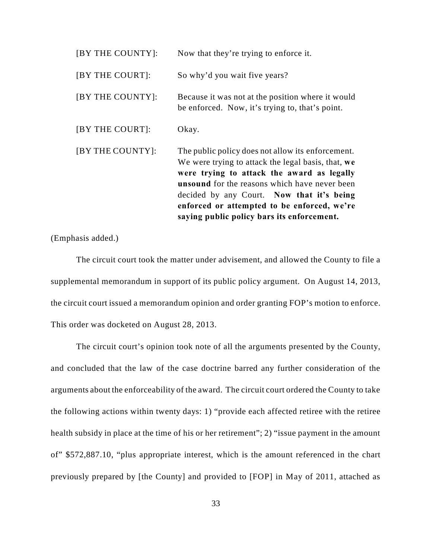| [BY THE COUNTY]: | Now that they're trying to enforce it.                                                                                                                                                                                                                                                                                                                  |
|------------------|---------------------------------------------------------------------------------------------------------------------------------------------------------------------------------------------------------------------------------------------------------------------------------------------------------------------------------------------------------|
| [BY THE COURT]:  | So why'd you wait five years?                                                                                                                                                                                                                                                                                                                           |
| [BY THE COUNTY]: | Because it was not at the position where it would<br>be enforced. Now, it's trying to, that's point.                                                                                                                                                                                                                                                    |
| [BY THE COURT]:  | Okay.                                                                                                                                                                                                                                                                                                                                                   |
| [BY THE COUNTY]: | The public policy does not allow its enforcement.<br>We were trying to attack the legal basis, that, we<br>were trying to attack the award as legally<br><b>unsound</b> for the reasons which have never been<br>decided by any Court. Now that it's being<br>enforced or attempted to be enforced, we're<br>saying public policy bars its enforcement. |

(Emphasis added.)

The circuit court took the matter under advisement, and allowed the County to file a supplemental memorandum in support of its public policy argument. On August 14, 2013, the circuit court issued a memorandum opinion and order granting FOP's motion to enforce. This order was docketed on August 28, 2013.

The circuit court's opinion took note of all the arguments presented by the County, and concluded that the law of the case doctrine barred any further consideration of the arguments about the enforceability of the award. The circuit court ordered the County to take the following actions within twenty days: 1) "provide each affected retiree with the retiree health subsidy in place at the time of his or her retirement"; 2) "issue payment in the amount of" \$572,887.10, "plus appropriate interest, which is the amount referenced in the chart previously prepared by [the County] and provided to [FOP] in May of 2011, attached as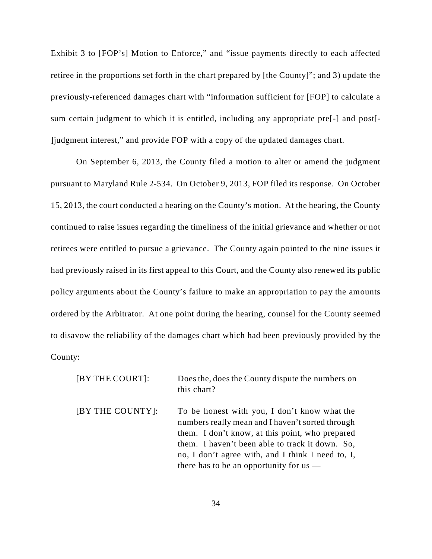Exhibit 3 to [FOP's] Motion to Enforce," and "issue payments directly to each affected retiree in the proportions set forth in the chart prepared by [the County]"; and 3) update the previously-referenced damages chart with "information sufficient for [FOP] to calculate a sum certain judgment to which it is entitled, including any appropriate pre[-] and post[- ]judgment interest," and provide FOP with a copy of the updated damages chart.

On September 6, 2013, the County filed a motion to alter or amend the judgment pursuant to Maryland Rule 2-534. On October 9, 2013, FOP filed its response. On October 15, 2013, the court conducted a hearing on the County's motion. At the hearing, the County continued to raise issues regarding the timeliness of the initial grievance and whether or not retirees were entitled to pursue a grievance. The County again pointed to the nine issues it had previously raised in its first appeal to this Court, and the County also renewed its public policy arguments about the County's failure to make an appropriation to pay the amounts ordered by the Arbitrator. At one point during the hearing, counsel for the County seemed to disavow the reliability of the damages chart which had been previously provided by the County:

| [BY THE COURT]:  | Does the, does the County dispute the numbers on<br>this chart?                                                                                                                                                                                                                                          |
|------------------|----------------------------------------------------------------------------------------------------------------------------------------------------------------------------------------------------------------------------------------------------------------------------------------------------------|
| [BY THE COUNTY]: | To be honest with you, I don't know what the<br>numbers really mean and I haven't sorted through<br>them. I don't know, at this point, who prepared<br>them. I haven't been able to track it down. So,<br>no, I don't agree with, and I think I need to, I,<br>there has to be an opportunity for $us$ — |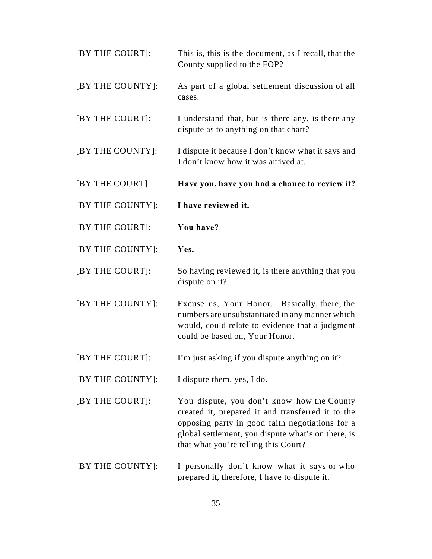| [BY THE COURT]:  | This is, this is the document, as I recall, that the<br>County supplied to the FOP?                                                                                                                                                              |
|------------------|--------------------------------------------------------------------------------------------------------------------------------------------------------------------------------------------------------------------------------------------------|
| [BY THE COUNTY]: | As part of a global settlement discussion of all<br>cases.                                                                                                                                                                                       |
| [BY THE COURT]:  | I understand that, but is there any, is there any<br>dispute as to anything on that chart?                                                                                                                                                       |
| [BY THE COUNTY]: | I dispute it because I don't know what it says and<br>I don't know how it was arrived at.                                                                                                                                                        |
| [BY THE COURT]:  | Have you, have you had a chance to review it?                                                                                                                                                                                                    |
| [BY THE COUNTY]: | I have reviewed it.                                                                                                                                                                                                                              |
| [BY THE COURT]:  | You have?                                                                                                                                                                                                                                        |
| [BY THE COUNTY]: | Yes.                                                                                                                                                                                                                                             |
| [BY THE COURT]:  | So having reviewed it, is there anything that you<br>dispute on it?                                                                                                                                                                              |
| [BY THE COUNTY]: | Excuse us, Your Honor. Basically, there, the<br>numbers are unsubstantiated in any manner which<br>would, could relate to evidence that a judgment<br>could be based on, Your Honor.                                                             |
| [BY THE COURT]:  | I'm just asking if you dispute anything on it?                                                                                                                                                                                                   |
| [BY THE COUNTY]: | I dispute them, yes, I do.                                                                                                                                                                                                                       |
| [BY THE COURT]:  | You dispute, you don't know how the County<br>created it, prepared it and transferred it to the<br>opposing party in good faith negotiations for a<br>global settlement, you dispute what's on there, is<br>that what you're telling this Court? |
| [BY THE COUNTY]: | I personally don't know what it says or who<br>prepared it, therefore, I have to dispute it.                                                                                                                                                     |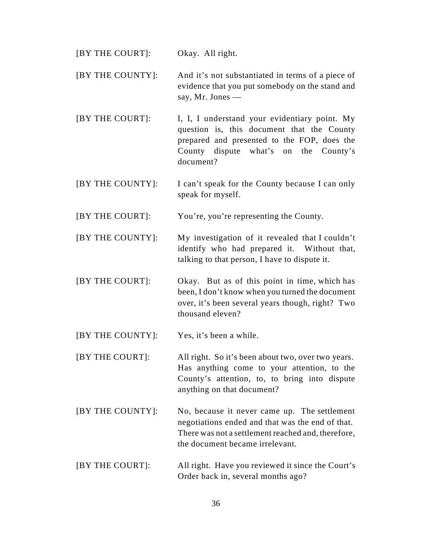| [BY THE COURT]:  | Okay. All right.                                                                                                                                                                                 |
|------------------|--------------------------------------------------------------------------------------------------------------------------------------------------------------------------------------------------|
| [BY THE COUNTY]: | And it's not substantiated in terms of a piece of<br>evidence that you put somebody on the stand and<br>say, Mr. Jones —                                                                         |
| [BY THE COURT]:  | I, I, I understand your evidentiary point. My<br>question is, this document that the County<br>prepared and presented to the FOP, does the<br>County dispute what's on the County's<br>document? |
| [BY THE COUNTY]: | I can't speak for the County because I can only<br>speak for myself.                                                                                                                             |
| [BY THE COURT]:  | You're, you're representing the County.                                                                                                                                                          |
| [BY THE COUNTY]: | My investigation of it revealed that I couldn't<br>identify who had prepared it. Without that,<br>talking to that person, I have to dispute it.                                                  |
| [BY THE COURT]:  | Okay. But as of this point in time, which has<br>been, I don't know when you turned the document<br>over, it's been several years though, right? Two<br>thousand eleven?                         |
| [BY THE COUNTY]: | Yes, it's been a while.                                                                                                                                                                          |
| [BY THE COURT]:  | All right. So it's been about two, over two years.<br>Has anything come to your attention, to the<br>County's attention, to, to bring into dispute<br>anything on that document?                 |
| [BY THE COUNTY]: | No, because it never came up. The settlement<br>negotiations ended and that was the end of that.<br>There was not a settlement reached and, therefore,<br>the document became irrelevant.        |
| [BY THE COURT]:  | All right. Have you reviewed it since the Court's<br>Order back in, several months ago?                                                                                                          |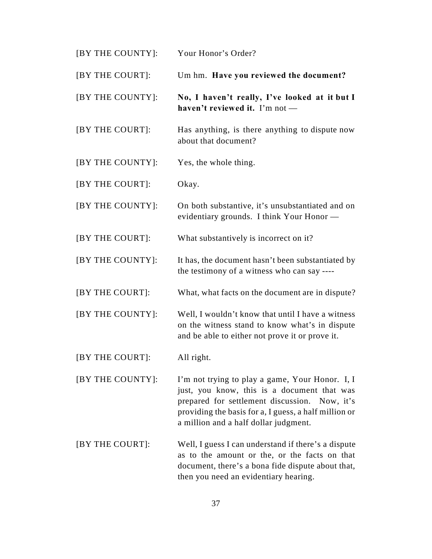| [BY THE COUNTY]: | Your Honor's Order?                                                                                                                                                                                                                               |
|------------------|---------------------------------------------------------------------------------------------------------------------------------------------------------------------------------------------------------------------------------------------------|
| [BY THE COURT]:  | Um hm. Have you reviewed the document?                                                                                                                                                                                                            |
| [BY THE COUNTY]: | No, I haven't really, I've looked at it but I<br>haven't reviewed it. I'm not -                                                                                                                                                                   |
| [BY THE COURT]:  | Has anything, is there anything to dispute now<br>about that document?                                                                                                                                                                            |
| [BY THE COUNTY]: | Yes, the whole thing.                                                                                                                                                                                                                             |
| [BY THE COURT]:  | Okay.                                                                                                                                                                                                                                             |
| [BY THE COUNTY]: | On both substantive, it's unsubstantiated and on<br>evidentiary grounds. I think Your Honor -                                                                                                                                                     |
| [BY THE COURT]:  | What substantively is incorrect on it?                                                                                                                                                                                                            |
| [BY THE COUNTY]: | It has, the document hasn't been substantiated by<br>the testimony of a witness who can say ----                                                                                                                                                  |
| [BY THE COURT]:  | What, what facts on the document are in dispute?                                                                                                                                                                                                  |
| [BY THE COUNTY]: | Well, I wouldn't know that until I have a witness<br>on the witness stand to know what's in dispute<br>and be able to either not prove it or prove it.                                                                                            |
| [BY THE COURT]:  | All right.                                                                                                                                                                                                                                        |
| [BY THE COUNTY]: | I'm not trying to play a game, Your Honor. I, I<br>just, you know, this is a document that was<br>prepared for settlement discussion. Now, it's<br>providing the basis for a, I guess, a half million or<br>a million and a half dollar judgment. |
| [BY THE COURT]:  | Well, I guess I can understand if there's a dispute<br>as to the amount or the, or the facts on that<br>document, there's a bona fide dispute about that,<br>then you need an evidentiary hearing.                                                |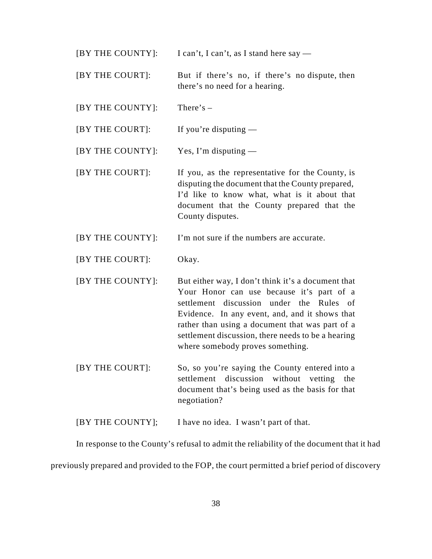$[BY THE COUNTY]:$  I can't, I can't, as I stand here say —

[BY THE COURT]: But if there's no, if there's no dispute, then there's no need for a hearing.

[BY THE COUNTY]: There's –

[BY THE COURT]: If you're disputing —

[BY THE COUNTY]: Yes, I'm disputing —

[BY THE COURT]: If you, as the representative for the County, is disputing the document that the County prepared, I'd like to know what, what is it about that document that the County prepared that the County disputes.

[BY THE COUNTY]: I'm not sure if the numbers are accurate.

[BY THE COURT]: Okay.

- [BY THE COUNTY]: But either way, I don't think it's a document that Your Honor can use because it's part of a settlement discussion under the Rules of Evidence. In any event, and, and it shows that rather than using a document that was part of a settlement discussion, there needs to be a hearing where somebody proves something.
- [BY THE COURT]: So, so you're saying the County entered into a settlement discussion without vetting the document that's being used as the basis for that negotiation?

[BY THE COUNTY]; I have no idea. I wasn't part of that.

In response to the County's refusal to admit the reliability of the document that it had previously prepared and provided to the FOP, the court permitted a brief period of discovery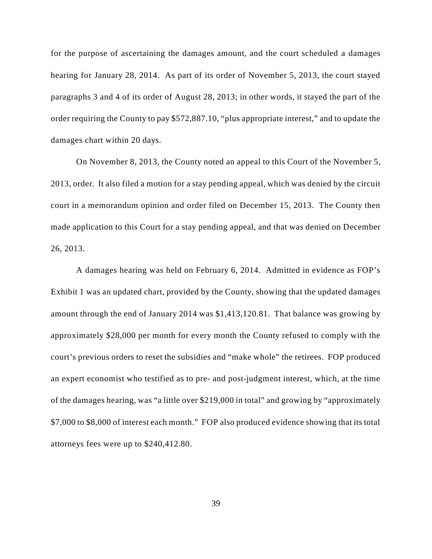for the purpose of ascertaining the damages amount, and the court scheduled a damages hearing for January 28, 2014. As part of its order of November 5, 2013, the court stayed paragraphs 3 and 4 of its order of August 28, 2013; in other words, it stayed the part of the order requiring the County to pay \$572,887.10, "plus appropriate interest," and to update the damages chart within 20 days.

On November 8, 2013, the County noted an appeal to this Court of the November 5, 2013, order. It also filed a motion for a stay pending appeal, which was denied by the circuit court in a memorandum opinion and order filed on December 15, 2013. The County then made application to this Court for a stay pending appeal, and that was denied on December 26, 2013.

A damages hearing was held on February 6, 2014. Admitted in evidence as FOP's Exhibit 1 was an updated chart, provided by the County, showing that the updated damages amount through the end of January 2014 was \$1,413,120.81. That balance was growing by approximately \$28,000 per month for every month the County refused to comply with the court's previous orders to reset the subsidies and "make whole" the retirees. FOP produced an expert economist who testified as to pre- and post-judgment interest, which, at the time of the damages hearing, was "a little over \$219,000 in total" and growing by "approximately \$7,000 to \$8,000 of interest each month." FOP also produced evidence showing that its total attorneys fees were up to \$240,412.80.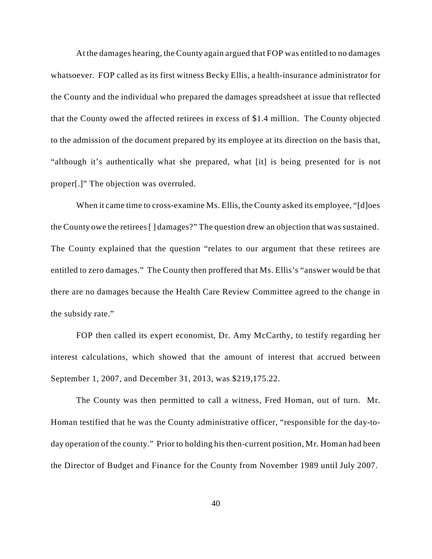At the damages hearing, the County again argued that FOP was entitled to no damages whatsoever. FOP called as its first witness Becky Ellis, a health-insurance administrator for the County and the individual who prepared the damages spreadsheet at issue that reflected that the County owed the affected retirees in excess of \$1.4 million. The County objected to the admission of the document prepared by its employee at its direction on the basis that, "although it's authentically what she prepared, what [it] is being presented for is not proper[.]" The objection was overruled.

When it came time to cross-examine Ms. Ellis, the County asked its employee, "[d]oes the County owe the retirees [ ] damages?" The question drew an objection that was sustained. The County explained that the question "relates to our argument that these retirees are entitled to zero damages." The County then proffered that Ms. Ellis's "answer would be that there are no damages because the Health Care Review Committee agreed to the change in the subsidy rate."

FOP then called its expert economist, Dr. Amy McCarthy, to testify regarding her interest calculations, which showed that the amount of interest that accrued between September 1, 2007, and December 31, 2013, was \$219,175.22.

The County was then permitted to call a witness, Fred Homan, out of turn. Mr. Homan testified that he was the County administrative officer, "responsible for the day-today operation of the county." Prior to holding his then-current position, Mr. Homan had been the Director of Budget and Finance for the County from November 1989 until July 2007.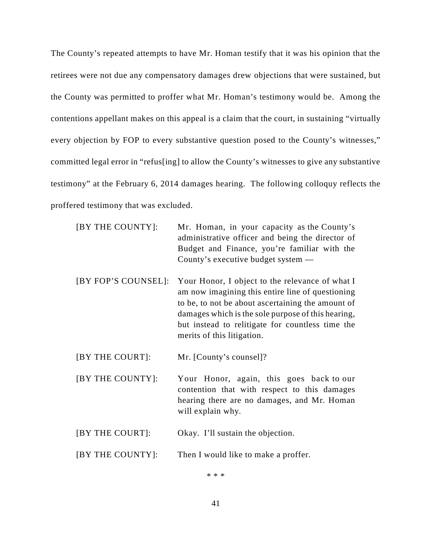The County's repeated attempts to have Mr. Homan testify that it was his opinion that the retirees were not due any compensatory damages drew objections that were sustained, but the County was permitted to proffer what Mr. Homan's testimony would be. Among the contentions appellant makes on this appeal is a claim that the court, in sustaining "virtually every objection by FOP to every substantive question posed to the County's witnesses," committed legal error in "refus[ing] to allow the County's witnesses to give any substantive testimony" at the February 6, 2014 damages hearing. The following colloquy reflects the proffered testimony that was excluded.

| [BY THE COUNTY]:    | Mr. Homan, in your capacity as the County's<br>administrative officer and being the director of<br>Budget and Finance, you're familiar with the<br>County's executive budget system $-$                                                                                                          |
|---------------------|--------------------------------------------------------------------------------------------------------------------------------------------------------------------------------------------------------------------------------------------------------------------------------------------------|
| [BY FOP'S COUNSEL]: | Your Honor, I object to the relevance of what I<br>am now imagining this entire line of questioning<br>to be, to not be about ascertaining the amount of<br>damages which is the sole purpose of this hearing,<br>but instead to relitigate for countless time the<br>merits of this litigation. |

[BY THE COURT]: Mr. [County's counsel]?

- [BY THE COUNTY]: Your Honor, again, this goes back to our contention that with respect to this damages hearing there are no damages, and Mr. Homan will explain why.
- [BY THE COURT]: Okay. I'll sustain the objection.

#### [BY THE COUNTY]: Then I would like to make a proffer.

\* \* \*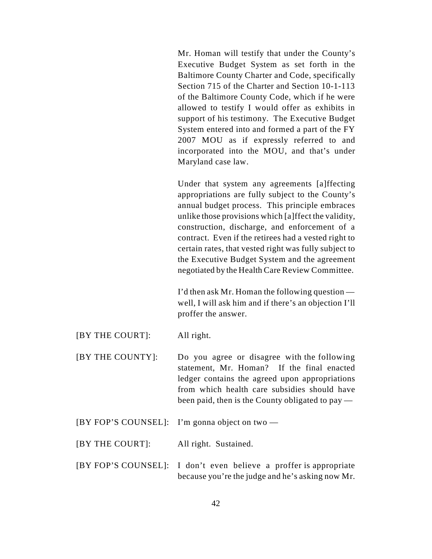Mr. Homan will testify that under the County's Executive Budget System as set forth in the Baltimore County Charter and Code, specifically Section 715 of the Charter and Section 10-1-113 of the Baltimore County Code, which if he were allowed to testify I would offer as exhibits in support of his testimony. The Executive Budget System entered into and formed a part of the FY 2007 MOU as if expressly referred to and incorporated into the MOU, and that's under Maryland case law.

Under that system any agreements [a]ffecting appropriations are fully subject to the County's annual budget process. This principle embraces unlike those provisions which [a]ffect the validity, construction, discharge, and enforcement of a contract. Even if the retirees had a vested right to certain rates, that vested right was fully subject to the Executive Budget System and the agreement negotiated by the Health Care Review Committee.

I'd then ask Mr. Homan the following question well, I will ask him and if there's an objection I'll proffer the answer.

- [BY THE COURT]: All right.
- [BY THE COUNTY]: Do you agree or disagree with the following statement, Mr. Homan? If the final enacted ledger contains the agreed upon appropriations from which health care subsidies should have been paid, then is the County obligated to pay —
- [BY FOP'S COUNSEL]: I'm gonna object on two —
- [BY THE COURT]: All right. Sustained.
- [BY FOP'S COUNSEL]: I don't even believe a proffer is appropriate because you're the judge and he's asking now Mr.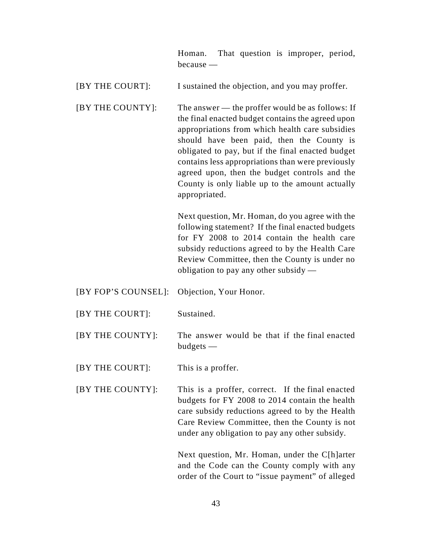|             |  | Homan. That question is improper, period, |  |
|-------------|--|-------------------------------------------|--|
| $because -$ |  |                                           |  |

[BY THE COURT]: I sustained the objection, and you may proffer.

[BY THE COUNTY]: The answer — the proffer would be as follows: If the final enacted budget contains the agreed upon appropriations from which health care subsidies should have been paid, then the County is obligated to pay, but if the final enacted budget contains less appropriations than were previously agreed upon, then the budget controls and the County is only liable up to the amount actually appropriated.

> Next question, Mr. Homan, do you agree with the following statement? If the final enacted budgets for FY 2008 to 2014 contain the health care subsidy reductions agreed to by the Health Care Review Committee, then the County is under no obligation to pay any other subsidy —

- [BY FOP'S COUNSEL]: Objection, Your Honor.
- [BY THE COURT]: Sustained.
- [BY THE COUNTY]: The answer would be that if the final enacted budgets —
- [BY THE COURT]: This is a proffer.
- [BY THE COUNTY]: This is a proffer, correct. If the final enacted budgets for FY 2008 to 2014 contain the health care subsidy reductions agreed to by the Health Care Review Committee, then the County is not under any obligation to pay any other subsidy.

Next question, Mr. Homan, under the C[h]arter and the Code can the County comply with any order of the Court to "issue payment" of alleged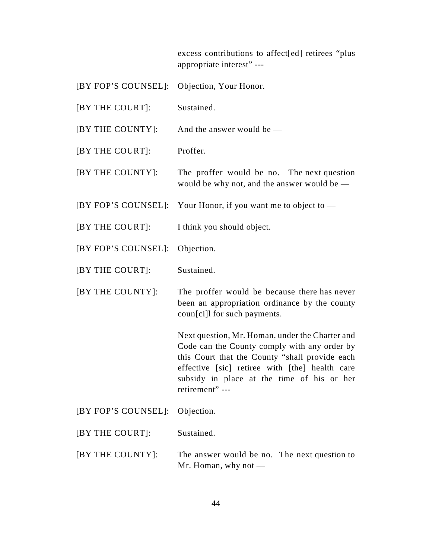excess contributions to affect[ed] retirees "plus appropriate interest" ---

| [BY FOP'S COUNSEL]: | Objection, Your Honor.                                                                                                                                                                                                                                               |
|---------------------|----------------------------------------------------------------------------------------------------------------------------------------------------------------------------------------------------------------------------------------------------------------------|
| [BY THE COURT]:     | Sustained.                                                                                                                                                                                                                                                           |
| [BY THE COUNTY]:    | And the answer would be $-$                                                                                                                                                                                                                                          |
| [BY THE COURT]:     | Proffer.                                                                                                                                                                                                                                                             |
| [BY THE COUNTY]:    | The proffer would be no. The next question<br>would be why not, and the answer would be -                                                                                                                                                                            |
|                     | [BY FOP'S COUNSEL]: Your Honor, if you want me to object to —                                                                                                                                                                                                        |
| [BY THE COURT]:     | I think you should object.                                                                                                                                                                                                                                           |
| [BY FOP'S COUNSEL]: | Objection.                                                                                                                                                                                                                                                           |
| [BY THE COURT]:     | Sustained.                                                                                                                                                                                                                                                           |
|                     |                                                                                                                                                                                                                                                                      |
| [BY THE COUNTY]:    | The proffer would be because there has never<br>been an appropriation ordinance by the county<br>coun[ci]l for such payments.                                                                                                                                        |
|                     | Next question, Mr. Homan, under the Charter and<br>Code can the County comply with any order by<br>this Court that the County "shall provide each<br>effective [sic] retiree with [the] health care<br>subsidy in place at the time of his or her<br>retirement" --- |
| [BY FOP'S COUNSEL]: | Objection.                                                                                                                                                                                                                                                           |
| [BY THE COURT]:     | Sustained.                                                                                                                                                                                                                                                           |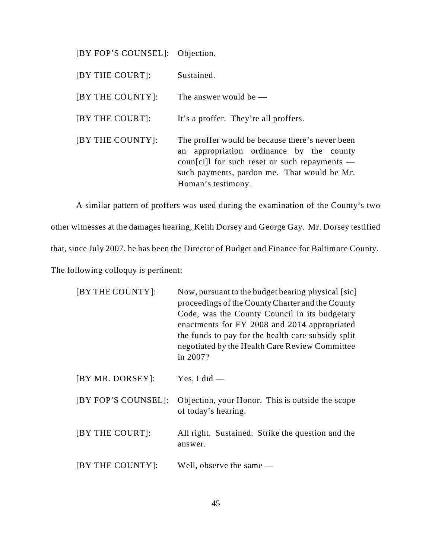[BY FOP'S COUNSEL]: Objection.

| [BY THE COURT]:  | Sustained.                                                                                                                                                                                                           |
|------------------|----------------------------------------------------------------------------------------------------------------------------------------------------------------------------------------------------------------------|
| [BY THE COUNTY]: | The answer would be $-$                                                                                                                                                                                              |
| [BY THE COURT]:  | It's a proffer. They're all proffers.                                                                                                                                                                                |
| [BY THE COUNTY]: | The proffer would be because there's never been<br>appropriation ordinance by the county<br>an<br>coun[ci]l for such reset or such repayments —<br>such payments, pardon me. That would be Mr.<br>Homan's testimony. |

A similar pattern of proffers was used during the examination of the County's two other witnesses at the damages hearing, Keith Dorsey and George Gay. Mr. Dorsey testified that, since July 2007, he has been the Director of Budget and Finance for Baltimore County. The following colloquy is pertinent:

| [BY THE COUNTY]:    | Now, pursuant to the budget bearing physical [sic]<br>proceedings of the County Charter and the County<br>Code, was the County Council in its budgetary<br>enactments for FY 2008 and 2014 appropriated<br>the funds to pay for the health care subsidy split<br>negotiated by the Health Care Review Committee<br>in 2007? |
|---------------------|-----------------------------------------------------------------------------------------------------------------------------------------------------------------------------------------------------------------------------------------------------------------------------------------------------------------------------|
| [BY MR. DORSEY]:    | Yes, I did $-$                                                                                                                                                                                                                                                                                                              |
| [BY FOP'S COUNSEL]: | Objection, your Honor. This is outside the scope<br>of today's hearing.                                                                                                                                                                                                                                                     |
| [BY THE COURT]:     | All right. Sustained. Strike the question and the<br>answer.                                                                                                                                                                                                                                                                |
| [BY THE COUNTY]:    | Well, observe the same $-$                                                                                                                                                                                                                                                                                                  |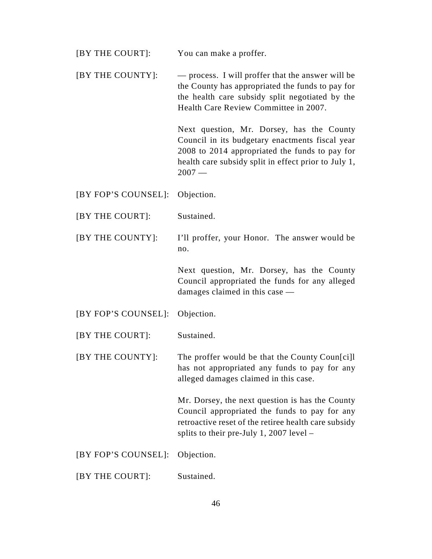| [BY THE COURT]:     | You can make a proffer.                                                                                                                                                                                           |
|---------------------|-------------------------------------------------------------------------------------------------------------------------------------------------------------------------------------------------------------------|
| [BY THE COUNTY]:    | — process. I will proffer that the answer will be<br>the County has appropriated the funds to pay for<br>the health care subsidy split negotiated by the<br>Health Care Review Committee in 2007.                 |
|                     | Next question, Mr. Dorsey, has the County<br>Council in its budgetary enactments fiscal year<br>2008 to 2014 appropriated the funds to pay for<br>health care subsidy split in effect prior to July 1,<br>$2007-$ |
| [BY FOP'S COUNSEL]: | Objection.                                                                                                                                                                                                        |
| [BY THE COURT]:     | Sustained.                                                                                                                                                                                                        |
| [BY THE COUNTY]:    | I'll proffer, your Honor. The answer would be<br>no.                                                                                                                                                              |
|                     |                                                                                                                                                                                                                   |
|                     | Next question, Mr. Dorsey, has the County<br>Council appropriated the funds for any alleged<br>damages claimed in this case —                                                                                     |
| [BY FOP'S COUNSEL]: | Objection.                                                                                                                                                                                                        |
| [BY THE COURT]:     | Sustained.                                                                                                                                                                                                        |
| [BY THE COUNTY]:    | The proffer would be that the County Coun[ci]l<br>has not appropriated any funds to pay for any<br>alleged damages claimed in this case.                                                                          |
|                     | Mr. Dorsey, the next question is has the County<br>Council appropriated the funds to pay for any<br>retroactive reset of the retiree health care subsidy<br>splits to their pre-July 1, 2007 level $-$            |
| [BY FOP'S COUNSEL]: | Objection.                                                                                                                                                                                                        |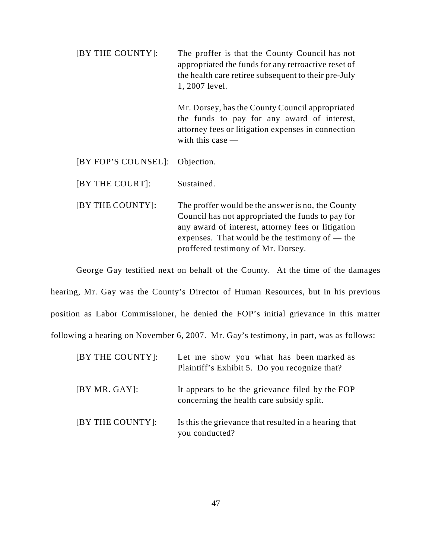| [BY THE COUNTY]: | The proffer is that the County Council has not       |
|------------------|------------------------------------------------------|
|                  | appropriated the funds for any retroactive reset of  |
|                  | the health care retiree subsequent to their pre-July |
|                  | 1, 2007 level.                                       |
|                  |                                                      |

Mr. Dorsey, has the County Council appropriated the funds to pay for any award of interest, attorney fees or litigation expenses in connection with this case —

[BY THE COURT]: Sustained.

[BY THE COUNTY]: The proffer would be the answer is no, the County Council has not appropriated the funds to pay for any award of interest, attorney fees or litigation expenses. That would be the testimony of — the proffered testimony of Mr. Dorsey.

George Gay testified next on behalf of the County. At the time of the damages

hearing, Mr. Gay was the County's Director of Human Resources, but in his previous position as Labor Commissioner, he denied the FOP's initial grievance in this matter following a hearing on November 6, 2007. Mr. Gay's testimony, in part, was as follows:

| [BY THE COUNTY]: | Let me show you what has been marked as<br>Plaintiff's Exhibit 5. Do you recognize that?     |
|------------------|----------------------------------------------------------------------------------------------|
| [BY MR. GAY]:    | It appears to be the grievance filed by the FOP<br>concerning the health care subsidy split. |
| [BY THE COUNTY]: | Is this the grievance that resulted in a hearing that<br>you conducted?                      |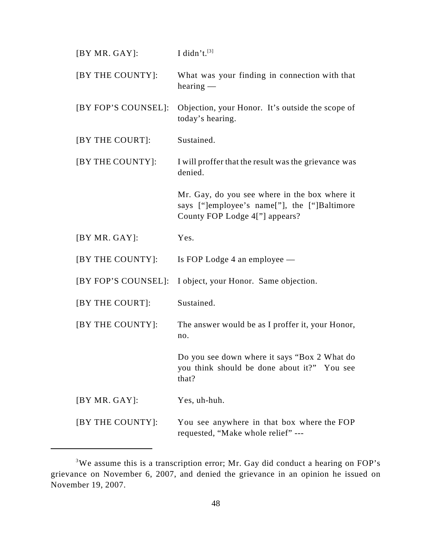| [BY MR. GAY]:       | I didn't.[3]                                                                                                                    |
|---------------------|---------------------------------------------------------------------------------------------------------------------------------|
| [BY THE COUNTY]:    | What was your finding in connection with that<br>hearing                                                                        |
| [BY FOP'S COUNSEL]: | Objection, your Honor. It's outside the scope of<br>today's hearing.                                                            |
| [BY THE COURT]:     | Sustained.                                                                                                                      |
| [BY THE COUNTY]:    | I will proffer that the result was the grievance was<br>denied.                                                                 |
|                     | Mr. Gay, do you see where in the box where it<br>says ["]employee's name["], the ["]Baltimore<br>County FOP Lodge 4["] appears? |
| [BY MR. GAY]:       | Yes.                                                                                                                            |
| [BY THE COUNTY]:    | Is FOP Lodge 4 an employee —                                                                                                    |
|                     | [BY FOP'S COUNSEL]: I object, your Honor. Same objection.                                                                       |
| [BY THE COURT]:     | Sustained.                                                                                                                      |
| [BY THE COUNTY]:    | The answer would be as I proffer it, your Honor,<br>no.                                                                         |
|                     | Do you see down where it says "Box 2 What do<br>you think should be done about it?" You see<br>that?                            |
| [BY MR. GAY]:       | Yes, uh-huh.                                                                                                                    |
| [BY THE COUNTY]:    | You see anywhere in that box where the FOP<br>requested, "Make whole relief" ---                                                |

 $3$ We assume this is a transcription error; Mr. Gay did conduct a hearing on FOP's grievance on November 6, 2007, and denied the grievance in an opinion he issued on November 19, 2007.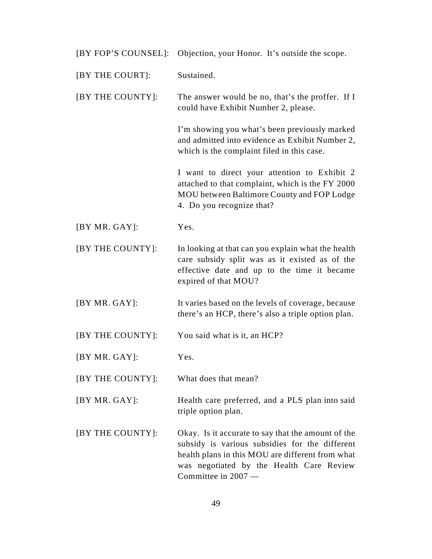|                  | [BY FOP'S COUNSEL]: Objection, your Honor. It's outside the scope.                                                                                                                                                          |
|------------------|-----------------------------------------------------------------------------------------------------------------------------------------------------------------------------------------------------------------------------|
| [BY THE COURT]:  | Sustained.                                                                                                                                                                                                                  |
| [BY THE COUNTY]: | The answer would be no, that's the proffer. If I<br>could have Exhibit Number 2, please.                                                                                                                                    |
|                  | I'm showing you what's been previously marked<br>and admitted into evidence as Exhibit Number 2,<br>which is the complaint filed in this case.                                                                              |
|                  | I want to direct your attention to Exhibit 2<br>attached to that complaint, which is the FY 2000<br>MOU between Baltimore County and FOP Lodge<br>4. Do you recognize that?                                                 |
| [BY MR. GAY]:    | Yes.                                                                                                                                                                                                                        |
| [BY THE COUNTY]: | In looking at that can you explain what the health<br>care subsidy split was as it existed as of the<br>effective date and up to the time it became<br>expired of that MOU?                                                 |
| [BY MR. GAY]:    | It varies based on the levels of coverage, because<br>there's an HCP, there's also a triple option plan.                                                                                                                    |
| [BY THE COUNTY]: | You said what is it, an HCP?                                                                                                                                                                                                |
| [BY MR. GAY]:    | Yes.                                                                                                                                                                                                                        |
| [BY THE COUNTY]: | What does that mean?                                                                                                                                                                                                        |
| [BY MR. GAY]:    | Health care preferred, and a PLS plan into said<br>triple option plan.                                                                                                                                                      |
| [BY THE COUNTY]: | Okay. Is it accurate to say that the amount of the<br>subsidy is various subsidies for the different<br>health plans in this MOU are different from what<br>was negotiated by the Health Care Review<br>Committee in 2007 - |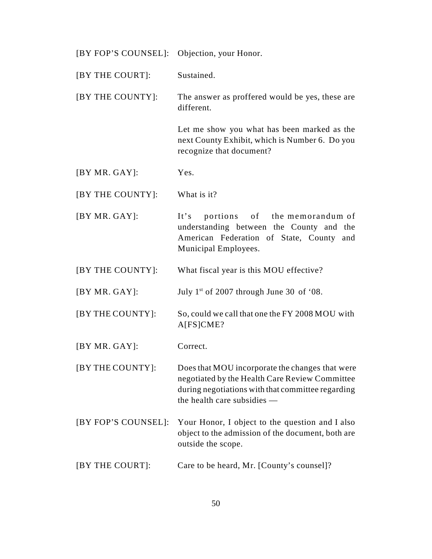| [BY FOP'S COUNSEL]: Objection, your Honor. |                                                                                                                                                                                       |
|--------------------------------------------|---------------------------------------------------------------------------------------------------------------------------------------------------------------------------------------|
| [BY THE COURT]:                            | Sustained.                                                                                                                                                                            |
| [BY THE COUNTY]:                           | The answer as proffered would be yes, these are<br>different.                                                                                                                         |
|                                            | Let me show you what has been marked as the<br>next County Exhibit, which is Number 6. Do you<br>recognize that document?                                                             |
| [BY MR. GAY]:                              | Yes.                                                                                                                                                                                  |
| [BY THE COUNTY]:                           | What is it?                                                                                                                                                                           |
| [BY MR.GAY]:                               | portions of the memorandum of<br>It's<br>understanding between the County and the<br>American Federation of State, County and<br>Municipal Employees.                                 |
| [BY THE COUNTY]:                           | What fiscal year is this MOU effective?                                                                                                                                               |
| [BY MR. GAY]:                              | July $1st$ of 2007 through June 30 of '08.                                                                                                                                            |
| [BY THE COUNTY]:                           | So, could we call that one the FY 2008 MOU with<br>A[FS]CME?                                                                                                                          |
| [BY MR. GAY]:                              | Correct.                                                                                                                                                                              |
| [BY THE COUNTY]:                           | Does that MOU incorporate the changes that were<br>negotiated by the Health Care Review Committee<br>during negotiations with that committee regarding<br>the health care subsidies — |
| [BY FOP'S COUNSEL]:                        | Your Honor, I object to the question and I also<br>object to the admission of the document, both are<br>outside the scope.                                                            |
| [BY THE COURT]:                            | Care to be heard, Mr. [County's counsel]?                                                                                                                                             |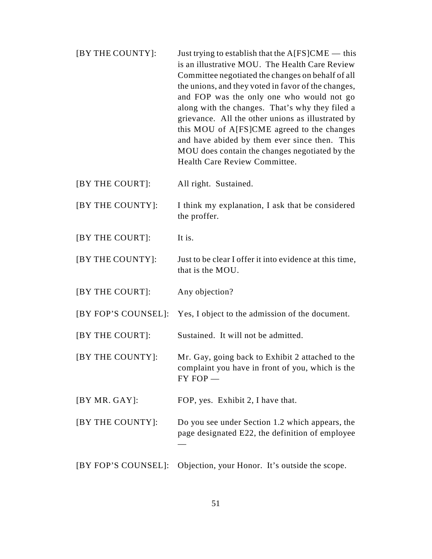- $[BY THE COUNTY]:$  Just trying to establish that the  $A[FS]CME$  this is an illustrative MOU. The Health Care Review Committee negotiated the changes on behalf of all the unions, and they voted in favor of the changes, and FOP was the only one who would not go along with the changes. That's why they filed a grievance. All the other unions as illustrated by this MOU of A[FS]CME agreed to the changes and have abided by them ever since then. This MOU does contain the changes negotiated by the Health Care Review Committee.
- [BY THE COURT]: All right. Sustained.
- [BY THE COUNTY]: I think my explanation, I ask that be considered the proffer.
- [BY THE COURT]: It is.
- [BY THE COUNTY]: Just to be clear I offer it into evidence at this time, that is the MOU.
- [BY THE COURT]: Any objection?
- [BY FOP'S COUNSEL]: Yes, I object to the admission of the document.
- [BY THE COURT]: Sustained. It will not be admitted.
- [BY THE COUNTY]: Mr. Gay, going back to Exhibit 2 attached to the complaint you have in front of you, which is the FY FOP —
- [BY MR. GAY]: FOP, yes. Exhibit 2, I have that.
- [BY THE COUNTY]: Do you see under Section 1.2 which appears, the page designated E22, the definition of employee —
- [BY FOP'S COUNSEL]: Objection, your Honor. It's outside the scope.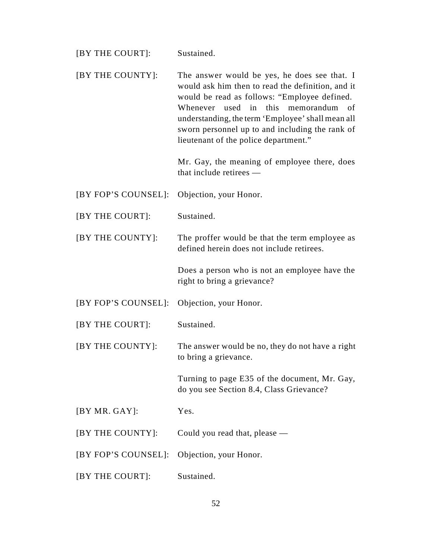| [BY THE COURT]:     | Sustained.                                                                                                                                                                                                                                                                                                                                              |
|---------------------|---------------------------------------------------------------------------------------------------------------------------------------------------------------------------------------------------------------------------------------------------------------------------------------------------------------------------------------------------------|
| [BY THE COUNTY]:    | The answer would be yes, he does see that. I<br>would ask him then to read the definition, and it<br>would be read as follows: "Employee defined.<br>Whenever<br>used in<br>this<br>memorandum<br>- of<br>understanding, the term 'Employee' shall mean all<br>sworn personnel up to and including the rank of<br>lieutenant of the police department." |
|                     | Mr. Gay, the meaning of employee there, does<br>that include retirees —                                                                                                                                                                                                                                                                                 |
| [BY FOP'S COUNSEL]: | Objection, your Honor.                                                                                                                                                                                                                                                                                                                                  |
| [BY THE COURT]:     | Sustained.                                                                                                                                                                                                                                                                                                                                              |
| [BY THE COUNTY]:    | The proffer would be that the term employee as<br>defined herein does not include retirees.                                                                                                                                                                                                                                                             |
|                     | Does a person who is not an employee have the<br>right to bring a grievance?                                                                                                                                                                                                                                                                            |
| [BY FOP'S COUNSEL]: |                                                                                                                                                                                                                                                                                                                                                         |
|                     | Objection, your Honor.                                                                                                                                                                                                                                                                                                                                  |
| [BY THE COURT]:     | Sustained.                                                                                                                                                                                                                                                                                                                                              |
| [BY THE COUNTY]:    | The answer would be no, they do not have a right<br>to bring a grievance.                                                                                                                                                                                                                                                                               |
|                     | Turning to page E35 of the document, Mr. Gay,<br>do you see Section 8.4, Class Grievance?                                                                                                                                                                                                                                                               |
| [BY MR.GAY]:        | Yes.                                                                                                                                                                                                                                                                                                                                                    |
| [BY THE COUNTY]:    | Could you read that, please —                                                                                                                                                                                                                                                                                                                           |
| [BY FOP'S COUNSEL]: | Objection, your Honor.                                                                                                                                                                                                                                                                                                                                  |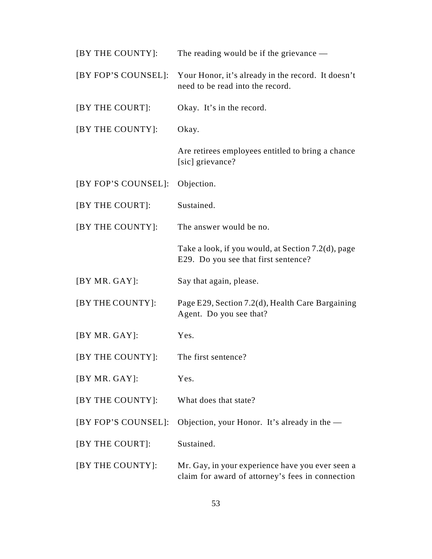| [BY THE COUNTY]:    | The reading would be if the grievance $-$                                                            |
|---------------------|------------------------------------------------------------------------------------------------------|
| [BY FOP'S COUNSEL]: | Your Honor, it's already in the record. It doesn't<br>need to be read into the record.               |
| [BY THE COURT]:     | Okay. It's in the record.                                                                            |
| [BY THE COUNTY]:    | Okay.                                                                                                |
|                     | Are retirees employees entitled to bring a chance<br>[sic] grievance?                                |
| [BY FOP'S COUNSEL]: | Objection.                                                                                           |
| [BY THE COURT]:     | Sustained.                                                                                           |
| [BY THE COUNTY]:    | The answer would be no.                                                                              |
|                     | Take a look, if you would, at Section 7.2(d), page<br>E29. Do you see that first sentence?           |
| [BY MR. GAY]:       | Say that again, please.                                                                              |
| [BY THE COUNTY]:    | Page E29, Section 7.2(d), Health Care Bargaining<br>Agent. Do you see that?                          |
| [BY MR. GAY]:       | Yes.                                                                                                 |
| [BY THE COUNTY]:    | The first sentence?                                                                                  |
| [BY MR. GAY]:       | Yes.                                                                                                 |
| [BY THE COUNTY]:    | What does that state?                                                                                |
| [BY FOP'S COUNSEL]: | Objection, your Honor. It's already in the $-$                                                       |
| [BY THE COURT]:     | Sustained.                                                                                           |
| [BY THE COUNTY]:    | Mr. Gay, in your experience have you ever seen a<br>claim for award of attorney's fees in connection |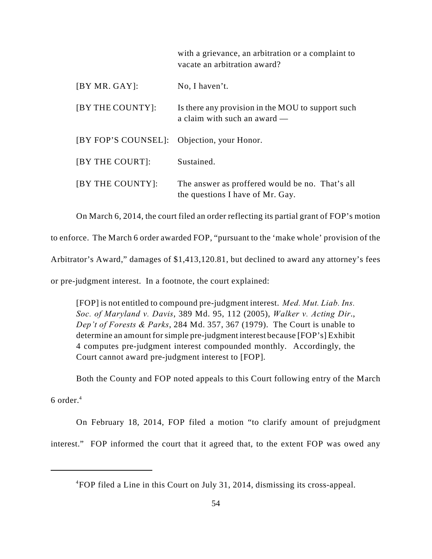with a grievance, an arbitration or a complaint to vacate an arbitration award?

| [BY MR. GAY]:                              | No, I haven't.                                                                      |
|--------------------------------------------|-------------------------------------------------------------------------------------|
| [BY THE COUNTY]:                           | Is there any provision in the MOU to support such<br>a claim with such an award —   |
| [BY FOP'S COUNSEL]: Objection, your Honor. |                                                                                     |
| [BY THE COURT]:                            | Sustained.                                                                          |
| [BY THE COUNTY]:                           | The answer as proffered would be no. That's all<br>the questions I have of Mr. Gay. |

On March 6, 2014, the court filed an order reflecting its partial grant of FOP's motion

to enforce. The March 6 order awarded FOP, "pursuant to the 'make whole' provision of the

Arbitrator's Award," damages of \$1,413,120.81, but declined to award any attorney's fees

or pre-judgment interest. In a footnote, the court explained:

[FOP] is not entitled to compound pre-judgment interest. *Med. Mut. Liab. Ins. Soc. of Maryland v. Davis*, 389 Md. 95, 112 (2005), *Walker v. Acting Dir*., *Dep't of Forests & Parks*, 284 Md. 357, 367 (1979). The Court is unable to determine an amount for simple pre-judgment interest because [FOP's] Exhibit 4 computes pre-judgment interest compounded monthly. Accordingly, the Court cannot award pre-judgment interest to [FOP].

Both the County and FOP noted appeals to this Court following entry of the March

6 order. $4$ 

On February 18, 2014, FOP filed a motion "to clarify amount of prejudgment

interest." FOP informed the court that it agreed that, to the extent FOP was owed any

<sup>&</sup>lt;sup>4</sup>FOP filed a Line in this Court on July 31, 2014, dismissing its cross-appeal.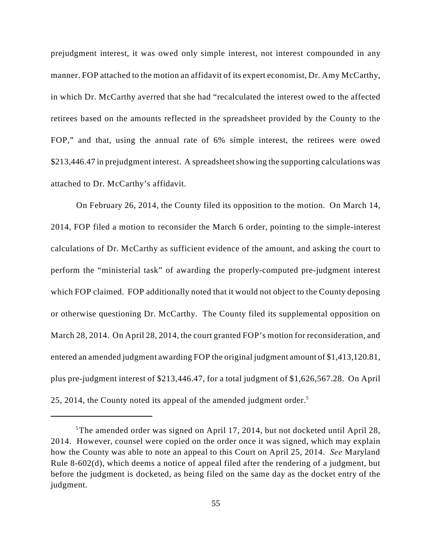prejudgment interest, it was owed only simple interest, not interest compounded in any manner. FOP attached to the motion an affidavit of its expert economist, Dr. Amy McCarthy, in which Dr. McCarthy averred that she had "recalculated the interest owed to the affected retirees based on the amounts reflected in the spreadsheet provided by the County to the FOP," and that, using the annual rate of 6% simple interest, the retirees were owed \$213,446.47 in prejudgment interest. A spreadsheet showing the supporting calculations was attached to Dr. McCarthy's affidavit.

On February 26, 2014, the County filed its opposition to the motion. On March 14, 2014, FOP filed a motion to reconsider the March 6 order, pointing to the simple-interest calculations of Dr. McCarthy as sufficient evidence of the amount, and asking the court to perform the "ministerial task" of awarding the properly-computed pre-judgment interest which FOP claimed. FOP additionally noted that it would not object to the County deposing or otherwise questioning Dr. McCarthy. The County filed its supplemental opposition on March 28, 2014. On April 28, 2014, the court granted FOP's motion for reconsideration, and entered an amended judgment awarding FOP the original judgment amount of \$1,413,120.81, plus pre-judgment interest of \$213,446.47, for a total judgment of \$1,626,567.28. On April 25, 2014, the County noted its appeal of the amended judgment order.<sup>5</sup>

 $5$ The amended order was signed on April 17, 2014, but not docketed until April 28, 2014. However, counsel were copied on the order once it was signed, which may explain how the County was able to note an appeal to this Court on April 25, 2014. *See* Maryland Rule 8-602(d), which deems a notice of appeal filed after the rendering of a judgment, but before the judgment is docketed, as being filed on the same day as the docket entry of the judgment.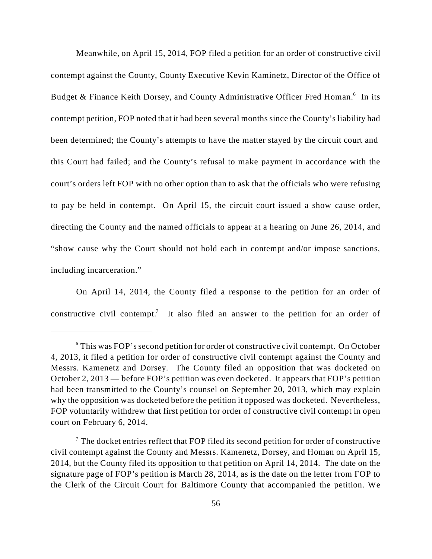Meanwhile, on April 15, 2014, FOP filed a petition for an order of constructive civil contempt against the County, County Executive Kevin Kaminetz, Director of the Office of Budget & Finance Keith Dorsey, and County Administrative Officer Fred Homan.<sup>6</sup> In its contempt petition, FOP noted that it had been several months since the County's liability had been determined; the County's attempts to have the matter stayed by the circuit court and this Court had failed; and the County's refusal to make payment in accordance with the court's orders left FOP with no other option than to ask that the officials who were refusing to pay be held in contempt. On April 15, the circuit court issued a show cause order, directing the County and the named officials to appear at a hearing on June 26, 2014, and "show cause why the Court should not hold each in contempt and/or impose sanctions, including incarceration."

On April 14, 2014, the County filed a response to the petition for an order of constructive civil contempt.<sup>7</sup> It also filed an answer to the petition for an order of

 $6$  This was FOP's second petition for order of constructive civil contempt. On October 4, 2013, it filed a petition for order of constructive civil contempt against the County and Messrs. Kamenetz and Dorsey. The County filed an opposition that was docketed on October 2, 2013 — before FOP's petition was even docketed. It appears that FOP's petition had been transmitted to the County's counsel on September 20, 2013, which may explain why the opposition was docketed before the petition it opposed was docketed. Nevertheless, FOP voluntarily withdrew that first petition for order of constructive civil contempt in open court on February 6, 2014.

 $\alpha$ <sup>7</sup> The docket entries reflect that FOP filed its second petition for order of constructive civil contempt against the County and Messrs. Kamenetz, Dorsey, and Homan on April 15, 2014, but the County filed its opposition to that petition on April 14, 2014. The date on the signature page of FOP's petition is March 28, 2014, as is the date on the letter from FOP to the Clerk of the Circuit Court for Baltimore County that accompanied the petition. We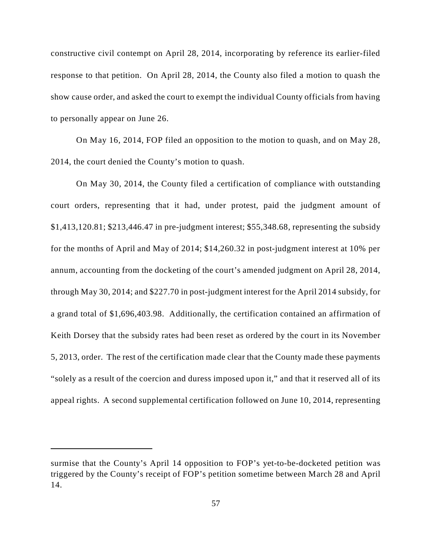constructive civil contempt on April 28, 2014, incorporating by reference its earlier-filed response to that petition. On April 28, 2014, the County also filed a motion to quash the show cause order, and asked the court to exempt the individual County officials from having to personally appear on June 26.

On May 16, 2014, FOP filed an opposition to the motion to quash, and on May 28, 2014, the court denied the County's motion to quash.

On May 30, 2014, the County filed a certification of compliance with outstanding court orders, representing that it had, under protest, paid the judgment amount of \$1,413,120.81; \$213,446.47 in pre-judgment interest; \$55,348.68, representing the subsidy for the months of April and May of 2014; \$14,260.32 in post-judgment interest at 10% per annum, accounting from the docketing of the court's amended judgment on April 28, 2014, through May 30, 2014; and \$227.70 in post-judgment interest for the April 2014 subsidy, for a grand total of \$1,696,403.98. Additionally, the certification contained an affirmation of Keith Dorsey that the subsidy rates had been reset as ordered by the court in its November 5, 2013, order. The rest of the certification made clear that the County made these payments "solely as a result of the coercion and duress imposed upon it," and that it reserved all of its appeal rights. A second supplemental certification followed on June 10, 2014, representing

surmise that the County's April 14 opposition to FOP's yet-to-be-docketed petition was triggered by the County's receipt of FOP's petition sometime between March 28 and April 14.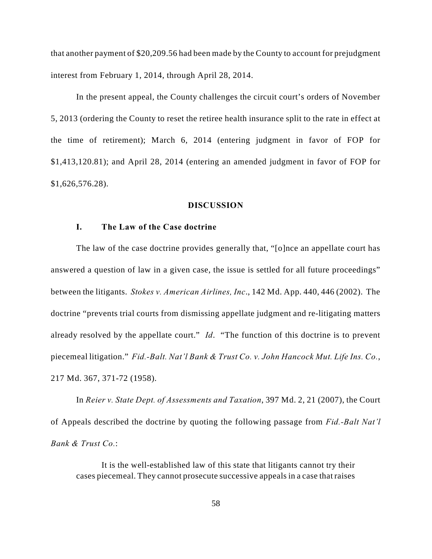that another payment of \$20,209.56 had been made by the County to account for prejudgment interest from February 1, 2014, through April 28, 2014.

In the present appeal, the County challenges the circuit court's orders of November 5, 2013 (ordering the County to reset the retiree health insurance split to the rate in effect at the time of retirement); March 6, 2014 (entering judgment in favor of FOP for \$1,413,120.81); and April 28, 2014 (entering an amended judgment in favor of FOP for \$1,626,576.28).

#### **DISCUSSION**

# **I. The Law of the Case doctrine**

The law of the case doctrine provides generally that, "[o]nce an appellate court has answered a question of law in a given case, the issue is settled for all future proceedings" between the litigants. *Stokes v. American Airlines, Inc*., 142 Md. App. 440, 446 (2002). The doctrine "prevents trial courts from dismissing appellate judgment and re-litigating matters already resolved by the appellate court." *Id*. "The function of this doctrine is to prevent piecemeal litigation." *Fid.-Balt. Nat'l Bank & Trust Co. v. John Hancock Mut. Life Ins. Co.*, 217 Md. 367, 371-72 (1958).

In *Reier v. State Dept. of Assessments and Taxation*, 397 Md. 2, 21 (2007), the Court of Appeals described the doctrine by quoting the following passage from *Fid.-Balt Nat'l Bank & Trust Co.*:

It is the well-established law of this state that litigants cannot try their cases piecemeal. They cannot prosecute successive appeals in a case that raises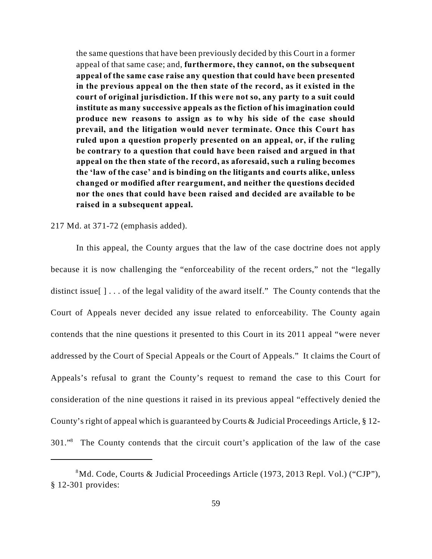the same questions that have been previously decided by this Court in a former appeal of that same case; and, **furthermore, they cannot, on the subsequent appeal of the same case raise any question that could have been presented in the previous appeal on the then state of the record, as it existed in the court of original jurisdiction. If this were not so, any party to a suit could institute as many successive appeals as the fiction of his imagination could produce new reasons to assign as to why his side of the case should prevail, and the litigation would never terminate. Once this Court has ruled upon a question properly presented on an appeal, or, if the ruling be contrary to a question that could have been raised and argued in that appeal on the then state of the record, as aforesaid, such a ruling becomes the 'law of the case' and is binding on the litigants and courts alike, unless changed or modified after reargument, and neither the questions decided nor the ones that could have been raised and decided are available to be raised in a subsequent appeal.**

### 217 Md. at 371-72 (emphasis added).

In this appeal, the County argues that the law of the case doctrine does not apply because it is now challenging the "enforceability of the recent orders," not the "legally distinct issue  $[\ ] \dots$  of the legal validity of the award itself." The County contends that the Court of Appeals never decided any issue related to enforceability. The County again contends that the nine questions it presented to this Court in its 2011 appeal "were never addressed by the Court of Special Appeals or the Court of Appeals." It claims the Court of Appeals's refusal to grant the County's request to remand the case to this Court for consideration of the nine questions it raised in its previous appeal "effectively denied the County's right of appeal which is guaranteed by Courts & Judicial Proceedings Article, § 12- 301." The County contends that the circuit court's application of the law of the case

Md. Code, Courts & Judicial Proceedings Article (1973, 2013 Repl. Vol.) ("CJP"), <sup>8</sup> § 12-301 provides: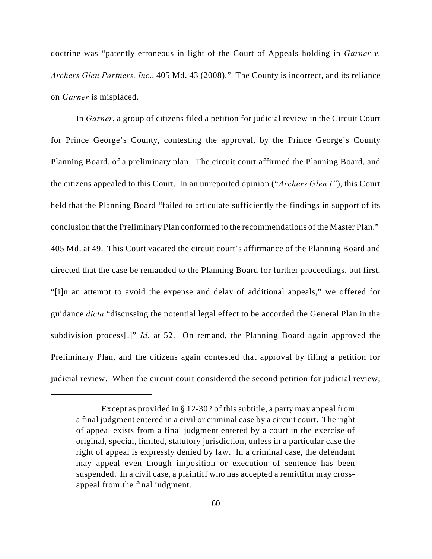doctrine was "patently erroneous in light of the Court of Appeals holding in *Garner v. Archers Glen Partners, Inc*., 405 Md. 43 (2008)." The County is incorrect, and its reliance on *Garner* is misplaced.

In *Garner*, a group of citizens filed a petition for judicial review in the Circuit Court for Prince George's County, contesting the approval, by the Prince George's County Planning Board, of a preliminary plan. The circuit court affirmed the Planning Board, and the citizens appealed to this Court. In an unreported opinion ("*Archers Glen I"*), this Court held that the Planning Board "failed to articulate sufficiently the findings in support of its conclusion that the Preliminary Plan conformed to the recommendations of the Master Plan." 405 Md. at 49. This Court vacated the circuit court's affirmance of the Planning Board and directed that the case be remanded to the Planning Board for further proceedings, but first, "[i]n an attempt to avoid the expense and delay of additional appeals," we offered for guidance *dicta* "discussing the potential legal effect to be accorded the General Plan in the subdivision process[.]" *Id*. at 52. On remand, the Planning Board again approved the Preliminary Plan, and the citizens again contested that approval by filing a petition for judicial review. When the circuit court considered the second petition for judicial review,

Except as provided in § 12-302 of this subtitle, a party may appeal from a final judgment entered in a civil or criminal case by a circuit court. The right of appeal exists from a final judgment entered by a court in the exercise of original, special, limited, statutory jurisdiction, unless in a particular case the right of appeal is expressly denied by law. In a criminal case, the defendant may appeal even though imposition or execution of sentence has been suspended. In a civil case, a plaintiff who has accepted a remittitur may crossappeal from the final judgment.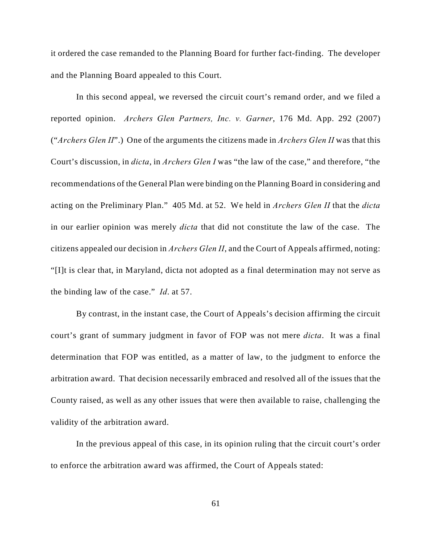it ordered the case remanded to the Planning Board for further fact-finding. The developer and the Planning Board appealed to this Court.

In this second appeal, we reversed the circuit court's remand order, and we filed a reported opinion. *Archers Glen Partners, Inc. v. Garner*, 176 Md. App. 292 (2007) ("*Archers Glen II*".) One of the arguments the citizens made in *Archers Glen II* was that this Court's discussion, in *dicta*, in *Archers Glen I* was "the law of the case," and therefore, "the recommendations of the General Plan were binding on the Planning Board in considering and acting on the Preliminary Plan." 405 Md. at 52. We held in *Archers Glen II* that the *dicta* in our earlier opinion was merely *dicta* that did not constitute the law of the case. The citizens appealed our decision in *Archers Glen II*, and the Court of Appeals affirmed, noting: "[I]t is clear that, in Maryland, dicta not adopted as a final determination may not serve as the binding law of the case." *Id*. at 57.

By contrast, in the instant case, the Court of Appeals's decision affirming the circuit court's grant of summary judgment in favor of FOP was not mere *dicta*. It was a final determination that FOP was entitled, as a matter of law, to the judgment to enforce the arbitration award. That decision necessarily embraced and resolved all of the issues that the County raised, as well as any other issues that were then available to raise, challenging the validity of the arbitration award.

In the previous appeal of this case, in its opinion ruling that the circuit court's order to enforce the arbitration award was affirmed, the Court of Appeals stated: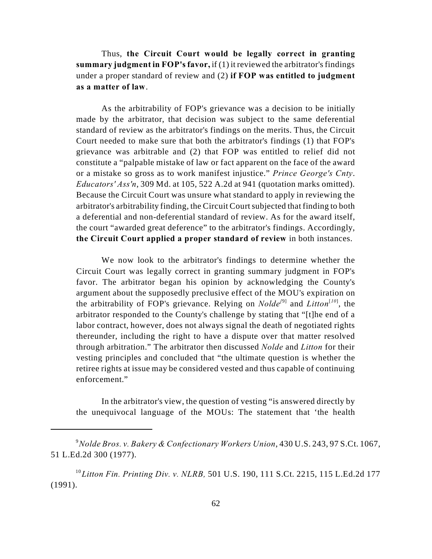Thus, **the Circuit Court would be legally correct in granting summary judgment in FOP's favor,** if (1) it reviewed the arbitrator's findings under a proper standard of review and (2) **if FOP was entitled to judgment as a matter of law**.

As the arbitrability of FOP's grievance was a decision to be initially made by the arbitrator, that decision was subject to the same deferential standard of review as the arbitrator's findings on the merits. Thus, the Circuit Court needed to make sure that both the arbitrator's findings (1) that FOP's grievance was arbitrable and (2) that FOP was entitled to relief did not constitute a "palpable mistake of law or fact apparent on the face of the award or a mistake so gross as to work manifest injustice." *Prince George's Cnty*. *Educators' Ass'n*, 309 Md. at 105, 522 A.2d at 941 (quotation marks omitted). Because the Circuit Court was unsure what standard to apply in reviewing the arbitrator's arbitrability finding, the Circuit Court subjected that finding to both a deferential and non-deferential standard of review. As for the award itself, the court "awarded great deference" to the arbitrator's findings. Accordingly, **the Circuit Court applied a proper standard of review** in both instances.

We now look to the arbitrator's findings to determine whether the Circuit Court was legally correct in granting summary judgment in FOP's favor. The arbitrator began his opinion by acknowledging the County's argument about the supposedly preclusive effect of the MOU's expiration on the arbitrability of FOP's grievance. Relying on *Nolde*<sup>[9]</sup> and *Litton*<sup>[10]</sup>, the arbitrator responded to the County's challenge by stating that "[t]he end of a labor contract, however, does not always signal the death of negotiated rights thereunder, including the right to have a dispute over that matter resolved through arbitration." The arbitrator then discussed *Nolde* and *Litton* for their vesting principles and concluded that "the ultimate question is whether the retiree rights at issue may be considered vested and thus capable of continuing enforcement."

In the arbitrator's view, the question of vesting "is answered directly by the unequivocal language of the MOUs: The statement that 'the health

*Nolde Bros. v. Bakery & Confectionary Workers Union*, 430 U.S. 243, 97 S.Ct. 1067, <sup>9</sup> 51 L.Ed.2d 300 (1977).

<sup>&</sup>lt;sup>10</sup> Litton Fin. Printing Div. v. NLRB, 501 U.S. 190, 111 S.Ct. 2215, 115 L.Ed.2d 177 (1991).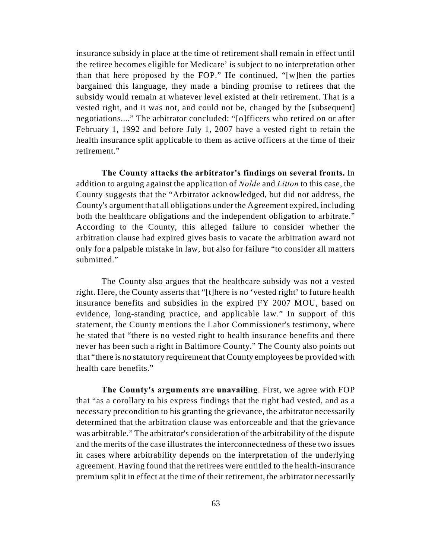insurance subsidy in place at the time of retirement shall remain in effect until the retiree becomes eligible for Medicare' is subject to no interpretation other than that here proposed by the FOP." He continued, "[w]hen the parties bargained this language, they made a binding promise to retirees that the subsidy would remain at whatever level existed at their retirement. That is a vested right, and it was not, and could not be, changed by the [subsequent] negotiations...." The arbitrator concluded: "[o]fficers who retired on or after February 1, 1992 and before July 1, 2007 have a vested right to retain the health insurance split applicable to them as active officers at the time of their retirement."

**The County attacks the arbitrator's findings on several fronts.** In addition to arguing against the application of *Nolde* and *Litton* to this case, the County suggests that the "Arbitrator acknowledged, but did not address, the County's argument that all obligations under the Agreement expired, including both the healthcare obligations and the independent obligation to arbitrate." According to the County, this alleged failure to consider whether the arbitration clause had expired gives basis to vacate the arbitration award not only for a palpable mistake in law, but also for failure "to consider all matters submitted."

The County also argues that the healthcare subsidy was not a vested right. Here, the County asserts that "[t]here is no 'vested right' to future health insurance benefits and subsidies in the expired FY 2007 MOU, based on evidence, long-standing practice, and applicable law." In support of this statement, the County mentions the Labor Commissioner's testimony, where he stated that "there is no vested right to health insurance benefits and there never has been such a right in Baltimore County." The County also points out that "there is no statutory requirement that County employees be provided with health care benefits."

**The County's arguments are unavailing**. First, we agree with FOP that "as a corollary to his express findings that the right had vested, and as a necessary precondition to his granting the grievance, the arbitrator necessarily determined that the arbitration clause was enforceable and that the grievance was arbitrable." The arbitrator's consideration of the arbitrability of the dispute and the merits of the case illustrates the interconnectedness of these two issues in cases where arbitrability depends on the interpretation of the underlying agreement. Having found that the retirees were entitled to the health-insurance premium split in effect at the time of their retirement, the arbitrator necessarily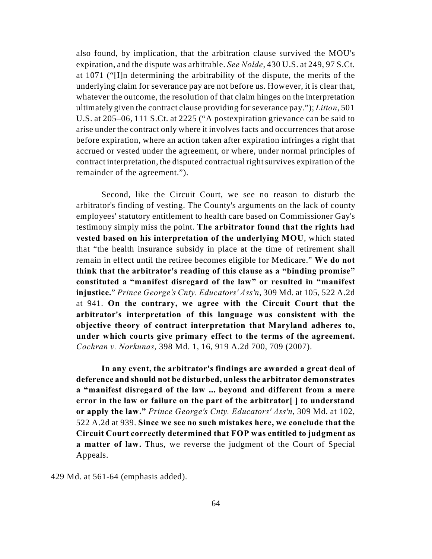also found, by implication, that the arbitration clause survived the MOU's expiration, and the dispute was arbitrable. *See Nolde*, 430 U.S. at 249, 97 S.Ct. at 1071 ("[I]n determining the arbitrability of the dispute, the merits of the underlying claim for severance pay are not before us. However, it is clear that, whatever the outcome, the resolution of that claim hinges on the interpretation ultimately given the contract clause providing for severance pay."); *Litton*, 501 U.S. at 205–06, 111 S.Ct. at 2225 ("A postexpiration grievance can be said to arise under the contract only where it involves facts and occurrences that arose before expiration, where an action taken after expiration infringes a right that accrued or vested under the agreement, or where, under normal principles of contract interpretation, the disputed contractual right survives expiration of the remainder of the agreement.").

Second, like the Circuit Court, we see no reason to disturb the arbitrator's finding of vesting. The County's arguments on the lack of county employees' statutory entitlement to health care based on Commissioner Gay's testimony simply miss the point. **The arbitrator found that the rights had vested based on his interpretation of the underlying MOU**, which stated that "the health insurance subsidy in place at the time of retirement shall remain in effect until the retiree becomes eligible for Medicare." **We do not think that the arbitrator's reading of this clause as a "binding promise" constituted a "manifest disregard of the law" or resulted in "manifest injustice.**" *Prince George's Cnty. Educators' Ass'n*, 309 Md. at 105, 522 A.2d at 941. **On the contrary, we agree with the Circuit Court that the arbitrator's interpretation of this language was consistent with the objective theory of contract interpretation that Maryland adheres to, under which courts give primary effect to the terms of the agreement.** *Cochran v. Norkunas*, 398 Md. 1, 16, 919 A.2d 700, 709 (2007).

**In any event, the arbitrator's findings are awarded a great deal of deference and should not be disturbed, unless the arbitrator demonstrates a "manifest disregard of the law ... beyond and different from a mere error in the law or failure on the part of the arbitrator[ ] to understand or apply the law."** *Prince George's Cnty. Educators' Ass'n*, 309 Md. at 102, 522 A.2d at 939. **Since we see no such mistakes here, we conclude that the Circuit Court correctly determined that FOP was entitled to judgment as a matter of law.** Thus, we reverse the judgment of the Court of Special Appeals.

429 Md. at 561-64 (emphasis added).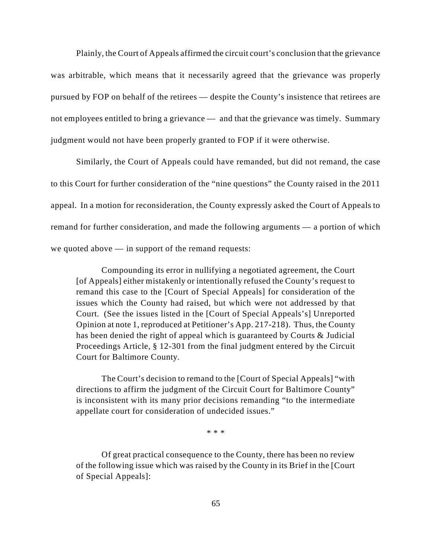Plainly, the Court of Appeals affirmed the circuit court's conclusion that the grievance was arbitrable, which means that it necessarily agreed that the grievance was properly pursued by FOP on behalf of the retirees — despite the County's insistence that retirees are not employees entitled to bring a grievance — and that the grievance was timely. Summary judgment would not have been properly granted to FOP if it were otherwise.

Similarly, the Court of Appeals could have remanded, but did not remand, the case to this Court for further consideration of the "nine questions" the County raised in the 2011 appeal. In a motion for reconsideration, the County expressly asked the Court of Appeals to remand for further consideration, and made the following arguments — a portion of which we quoted above — in support of the remand requests:

Compounding its error in nullifying a negotiated agreement, the Court [of Appeals] either mistakenly or intentionally refused the County's request to remand this case to the [Court of Special Appeals] for consideration of the issues which the County had raised, but which were not addressed by that Court. (See the issues listed in the [Court of Special Appeals's] Unreported Opinion at note 1, reproduced at Petitioner's App. 217-218). Thus, the County has been denied the right of appeal which is guaranteed by Courts & Judicial Proceedings Article, § 12-301 from the final judgment entered by the Circuit Court for Baltimore County.

The Court's decision to remand to the [Court of Special Appeals] "with directions to affirm the judgment of the Circuit Court for Baltimore County" is inconsistent with its many prior decisions remanding "to the intermediate appellate court for consideration of undecided issues."

\* \* \*

Of great practical consequence to the County, there has been no review of the following issue which was raised by the County in its Brief in the [Court of Special Appeals]: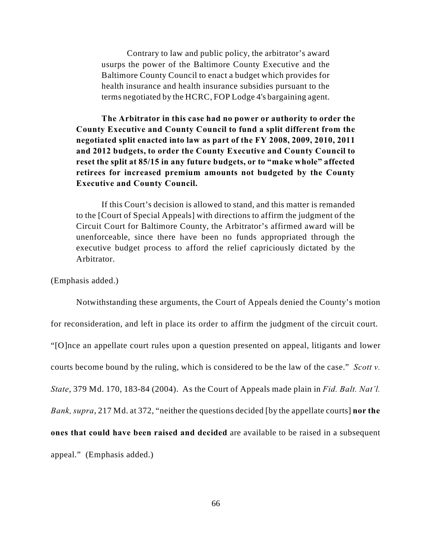Contrary to law and public policy, the arbitrator's award usurps the power of the Baltimore County Executive and the Baltimore County Council to enact a budget which provides for health insurance and health insurance subsidies pursuant to the terms negotiated by the HCRC, FOP Lodge 4's bargaining agent.

**The Arbitrator in this case had no power or authority to order the County Executive and County Council to fund a split different from the negotiated split enacted into law as part of the FY 2008, 2009, 2010, 2011 and 2012 budgets, to order the County Executive and County Council to reset the split at 85/15 in any future budgets, or to "make whole" affected retirees for increased premium amounts not budgeted by the County Executive and County Council.**

If this Court's decision is allowed to stand, and this matter is remanded to the [Court of Special Appeals] with directions to affirm the judgment of the Circuit Court for Baltimore County, the Arbitrator's affirmed award will be unenforceable, since there have been no funds appropriated through the executive budget process to afford the relief capriciously dictated by the Arbitrator.

(Emphasis added.)

Notwithstanding these arguments, the Court of Appeals denied the County's motion for reconsideration, and left in place its order to affirm the judgment of the circuit court. "[O]nce an appellate court rules upon a question presented on appeal, litigants and lower courts become bound by the ruling, which is considered to be the law of the case." *Scott v. State*, 379 Md. 170, 183-84 (2004). As the Court of Appeals made plain in *Fid. Balt. Nat'l. Bank, supra*, 217 Md. at 372, "neither the questions decided [by the appellate courts] **nor the ones that could have been raised and decided** are available to be raised in a subsequent appeal." (Emphasis added.)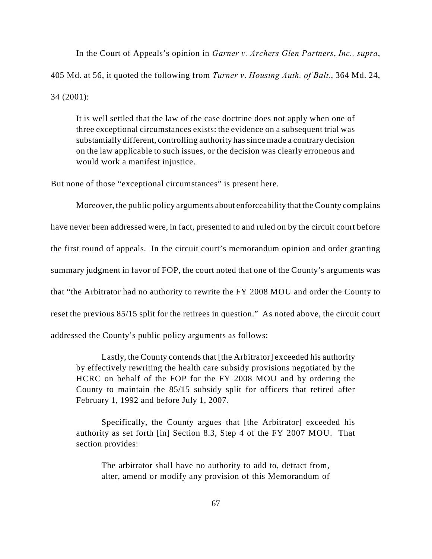In the Court of Appeals's opinion in *Garner v. Archers Glen Partners*, *Inc., supra*, 405 Md. at 56, it quoted the following from *Turner v*. *Housing Auth. of Balt.*, 364 Md. 24, 34 (2001):

It is well settled that the law of the case doctrine does not apply when one of three exceptional circumstances exists: the evidence on a subsequent trial was substantially different, controlling authority has since made a contrary decision on the law applicable to such issues, or the decision was clearly erroneous and would work a manifest injustice.

But none of those "exceptional circumstances" is present here.

Moreover, the public policy arguments about enforceability that the County complains have never been addressed were, in fact, presented to and ruled on by the circuit court before the first round of appeals. In the circuit court's memorandum opinion and order granting summary judgment in favor of FOP, the court noted that one of the County's arguments was that "the Arbitrator had no authority to rewrite the FY 2008 MOU and order the County to reset the previous 85/15 split for the retirees in question." As noted above, the circuit court addressed the County's public policy arguments as follows:

Lastly, the County contends that [the Arbitrator] exceeded his authority by effectively rewriting the health care subsidy provisions negotiated by the HCRC on behalf of the FOP for the FY 2008 MOU and by ordering the County to maintain the 85/15 subsidy split for officers that retired after February 1, 1992 and before July 1, 2007.

Specifically, the County argues that [the Arbitrator] exceeded his authority as set forth [in] Section 8.3, Step 4 of the FY 2007 MOU. That section provides:

The arbitrator shall have no authority to add to, detract from, alter, amend or modify any provision of this Memorandum of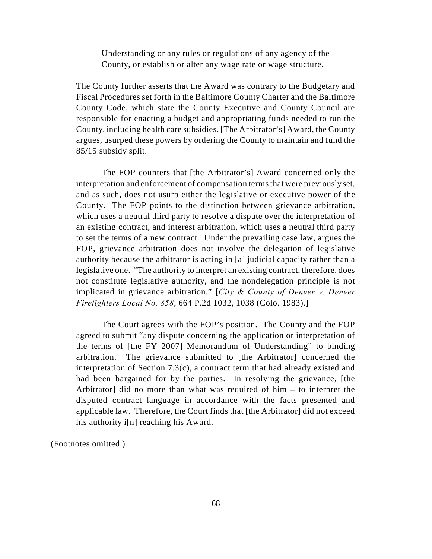Understanding or any rules or regulations of any agency of the County, or establish or alter any wage rate or wage structure.

The County further asserts that the Award was contrary to the Budgetary and Fiscal Procedures set forth in the Baltimore County Charter and the Baltimore County Code, which state the County Executive and County Council are responsible for enacting a budget and appropriating funds needed to run the County, including health care subsidies. [The Arbitrator's] Award, the County argues, usurped these powers by ordering the County to maintain and fund the 85/15 subsidy split.

The FOP counters that [the Arbitrator's] Award concerned only the interpretation and enforcement of compensation terms that were previously set, and as such, does not usurp either the legislative or executive power of the County. The FOP points to the distinction between grievance arbitration, which uses a neutral third party to resolve a dispute over the interpretation of an existing contract, and interest arbitration, which uses a neutral third party to set the terms of a new contract. Under the prevailing case law, argues the FOP, grievance arbitration does not involve the delegation of legislative authority because the arbitrator is acting in [a] judicial capacity rather than a legislative one. "The authority to interpret an existing contract, therefore, does not constitute legislative authority, and the nondelegation principle is not implicated in grievance arbitration." [*City & County of Denver v. Denver Firefighters Local No. 858*, 664 P.2d 1032, 1038 (Colo. 1983).]

The Court agrees with the FOP's position. The County and the FOP agreed to submit "any dispute concerning the application or interpretation of the terms of [the FY 2007] Memorandum of Understanding" to binding arbitration. The grievance submitted to [the Arbitrator] concerned the interpretation of Section 7.3(c), a contract term that had already existed and had been bargained for by the parties. In resolving the grievance, [the Arbitrator] did no more than what was required of him – to interpret the disputed contract language in accordance with the facts presented and applicable law. Therefore, the Court finds that [the Arbitrator] did not exceed his authority i[n] reaching his Award.

(Footnotes omitted.)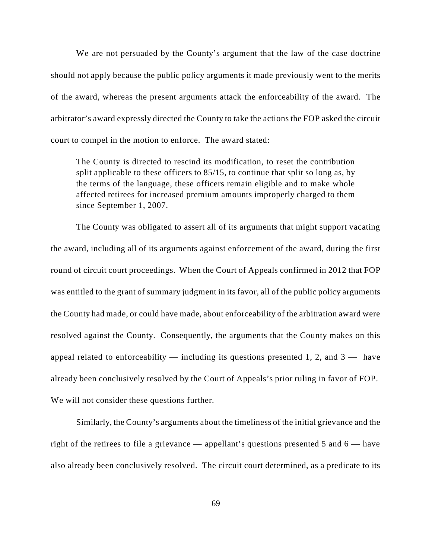We are not persuaded by the County's argument that the law of the case doctrine should not apply because the public policy arguments it made previously went to the merits of the award, whereas the present arguments attack the enforceability of the award. The arbitrator's award expressly directed the County to take the actions the FOP asked the circuit court to compel in the motion to enforce. The award stated:

The County is directed to rescind its modification, to reset the contribution split applicable to these officers to 85/15, to continue that split so long as, by the terms of the language, these officers remain eligible and to make whole affected retirees for increased premium amounts improperly charged to them since September 1, 2007.

The County was obligated to assert all of its arguments that might support vacating the award, including all of its arguments against enforcement of the award, during the first round of circuit court proceedings. When the Court of Appeals confirmed in 2012 that FOP was entitled to the grant of summary judgment in its favor, all of the public policy arguments the County had made, or could have made, about enforceability of the arbitration award were resolved against the County. Consequently, the arguments that the County makes on this appeal related to enforceability  $-$  including its questions presented 1, 2, and  $3 -$  have already been conclusively resolved by the Court of Appeals's prior ruling in favor of FOP. We will not consider these questions further.

Similarly, the County's arguments about the timeliness of the initial grievance and the right of the retirees to file a grievance — appellant's questions presented 5 and 6 — have also already been conclusively resolved. The circuit court determined, as a predicate to its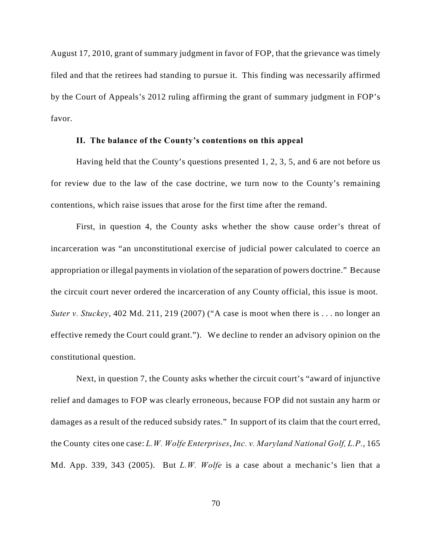August 17, 2010, grant of summary judgment in favor of FOP, that the grievance was timely filed and that the retirees had standing to pursue it. This finding was necessarily affirmed by the Court of Appeals's 2012 ruling affirming the grant of summary judgment in FOP's favor.

# **II. The balance of the County's contentions on this appeal**

Having held that the County's questions presented 1, 2, 3, 5, and 6 are not before us for review due to the law of the case doctrine, we turn now to the County's remaining contentions, which raise issues that arose for the first time after the remand.

First, in question 4, the County asks whether the show cause order's threat of incarceration was "an unconstitutional exercise of judicial power calculated to coerce an appropriation or illegal payments in violation of the separation of powers doctrine." Because the circuit court never ordered the incarceration of any County official, this issue is moot. *Suter v. Stuckey*, 402 Md. 211, 219 (2007) ("A case is moot when there is . . . no longer an effective remedy the Court could grant."). We decline to render an advisory opinion on the constitutional question.

Next, in question 7, the County asks whether the circuit court's "award of injunctive relief and damages to FOP was clearly erroneous, because FOP did not sustain any harm or damages as a result of the reduced subsidy rates." In support of its claim that the court erred, the County cites one case: *L.W. Wolfe Enterprises*, *Inc. v. Maryland National Golf, L.P.*, 165 Md. App. 339, 343 (2005). But *L.W. Wolfe* is a case about a mechanic's lien that a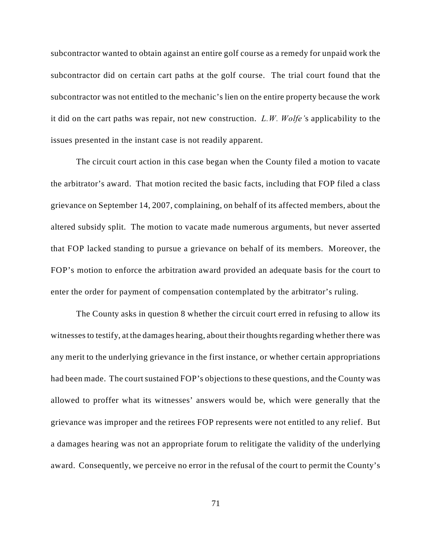subcontractor wanted to obtain against an entire golf course as a remedy for unpaid work the subcontractor did on certain cart paths at the golf course. The trial court found that the subcontractor was not entitled to the mechanic's lien on the entire property because the work it did on the cart paths was repair, not new construction. *L.W. Wolfe'*s applicability to the issues presented in the instant case is not readily apparent.

The circuit court action in this case began when the County filed a motion to vacate the arbitrator's award. That motion recited the basic facts, including that FOP filed a class grievance on September 14, 2007, complaining, on behalf of its affected members, about the altered subsidy split. The motion to vacate made numerous arguments, but never asserted that FOP lacked standing to pursue a grievance on behalf of its members. Moreover, the FOP's motion to enforce the arbitration award provided an adequate basis for the court to enter the order for payment of compensation contemplated by the arbitrator's ruling.

The County asks in question 8 whether the circuit court erred in refusing to allow its witnesses to testify, at the damages hearing, about their thoughts regarding whether there was any merit to the underlying grievance in the first instance, or whether certain appropriations had been made. The court sustained FOP's objections to these questions, and the County was allowed to proffer what its witnesses' answers would be, which were generally that the grievance was improper and the retirees FOP represents were not entitled to any relief. But a damages hearing was not an appropriate forum to relitigate the validity of the underlying award. Consequently, we perceive no error in the refusal of the court to permit the County's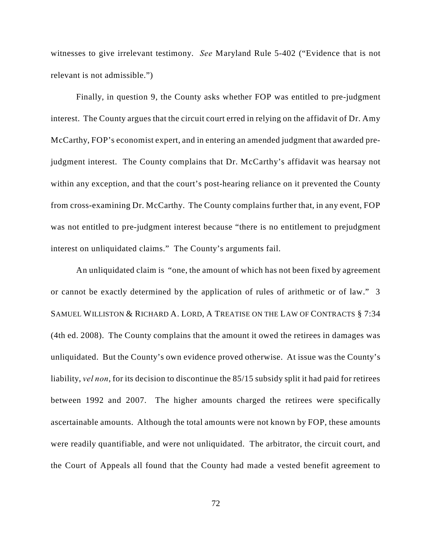witnesses to give irrelevant testimony. *See* Maryland Rule 5-402 ("Evidence that is not relevant is not admissible.")

Finally, in question 9, the County asks whether FOP was entitled to pre-judgment interest. The County argues that the circuit court erred in relying on the affidavit of Dr. Amy McCarthy, FOP's economist expert, and in entering an amended judgment that awarded prejudgment interest. The County complains that Dr. McCarthy's affidavit was hearsay not within any exception, and that the court's post-hearing reliance on it prevented the County from cross-examining Dr. McCarthy. The County complains further that, in any event, FOP was not entitled to pre-judgment interest because "there is no entitlement to prejudgment interest on unliquidated claims." The County's arguments fail.

An unliquidated claim is "one, the amount of which has not been fixed by agreement or cannot be exactly determined by the application of rules of arithmetic or of law." 3 SAMUEL WILLISTON & RICHARD A. LORD, A TREATISE ON THE LAW OF CONTRACTS § 7:34 (4th ed. 2008). The County complains that the amount it owed the retirees in damages was unliquidated. But the County's own evidence proved otherwise. At issue was the County's liability, *vel non*, for its decision to discontinue the 85/15 subsidy split it had paid for retirees between 1992 and 2007. The higher amounts charged the retirees were specifically ascertainable amounts. Although the total amounts were not known by FOP, these amounts were readily quantifiable, and were not unliquidated. The arbitrator, the circuit court, and the Court of Appeals all found that the County had made a vested benefit agreement to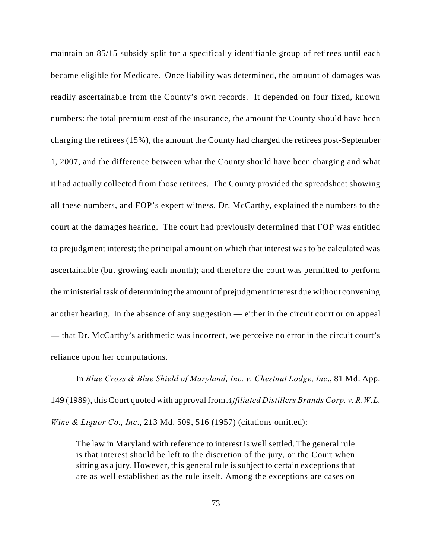maintain an 85/15 subsidy split for a specifically identifiable group of retirees until each became eligible for Medicare. Once liability was determined, the amount of damages was readily ascertainable from the County's own records. It depended on four fixed, known numbers: the total premium cost of the insurance, the amount the County should have been charging the retirees (15%), the amount the County had charged the retirees post-September 1, 2007, and the difference between what the County should have been charging and what it had actually collected from those retirees. The County provided the spreadsheet showing all these numbers, and FOP's expert witness, Dr. McCarthy, explained the numbers to the court at the damages hearing. The court had previously determined that FOP was entitled to prejudgment interest; the principal amount on which that interest was to be calculated was ascertainable (but growing each month); and therefore the court was permitted to perform the ministerial task of determining the amount of prejudgment interest due without convening another hearing. In the absence of any suggestion — either in the circuit court or on appeal — that Dr. McCarthy's arithmetic was incorrect, we perceive no error in the circuit court's reliance upon her computations.

In *Blue Cross & Blue Shield of Maryland, Inc. v. Chestnut Lodge, Inc*., 81 Md. App. 149 (1989), this Court quoted with approval from *Affiliated Distillers Brands Corp. v. R.W.L. Wine & Liquor Co., Inc*., 213 Md. 509, 516 (1957) (citations omitted):

The law in Maryland with reference to interest is well settled. The general rule is that interest should be left to the discretion of the jury, or the Court when sitting as a jury. However, this general rule is subject to certain exceptions that are as well established as the rule itself. Among the exceptions are cases on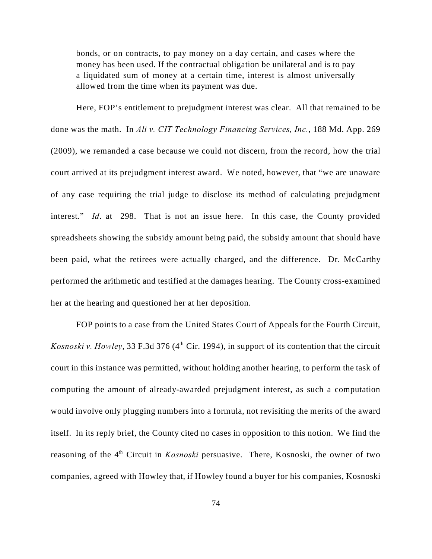bonds, or on contracts, to pay money on a day certain, and cases where the money has been used. If the contractual obligation be unilateral and is to pay a liquidated sum of money at a certain time, interest is almost universally allowed from the time when its payment was due.

Here, FOP's entitlement to prejudgment interest was clear. All that remained to be done was the math. In *Ali v. CIT Technology Financing Services, Inc.*, 188 Md. App. 269 (2009), we remanded a case because we could not discern, from the record, how the trial court arrived at its prejudgment interest award. We noted, however, that "we are unaware of any case requiring the trial judge to disclose its method of calculating prejudgment interest." *Id*. at 298. That is not an issue here. In this case, the County provided spreadsheets showing the subsidy amount being paid, the subsidy amount that should have been paid, what the retirees were actually charged, and the difference. Dr. McCarthy performed the arithmetic and testified at the damages hearing. The County cross-examined her at the hearing and questioned her at her deposition.

FOP points to a case from the United States Court of Appeals for the Fourth Circuit, *Kosnoski v. Howley*, 33 F.3d 376 ( $4<sup>th</sup>$  Cir. 1994), in support of its contention that the circuit court in this instance was permitted, without holding another hearing, to perform the task of computing the amount of already-awarded prejudgment interest, as such a computation would involve only plugging numbers into a formula, not revisiting the merits of the award itself. In its reply brief, the County cited no cases in opposition to this notion. We find the reasoning of the 4<sup>th</sup> Circuit in *Kosnoski* persuasive. There, Kosnoski, the owner of two companies, agreed with Howley that, if Howley found a buyer for his companies, Kosnoski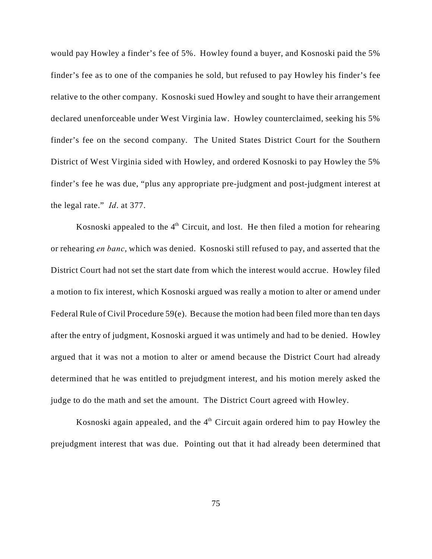would pay Howley a finder's fee of 5%. Howley found a buyer, and Kosnoski paid the 5% finder's fee as to one of the companies he sold, but refused to pay Howley his finder's fee relative to the other company. Kosnoski sued Howley and sought to have their arrangement declared unenforceable under West Virginia law. Howley counterclaimed, seeking his 5% finder's fee on the second company. The United States District Court for the Southern District of West Virginia sided with Howley, and ordered Kosnoski to pay Howley the 5% finder's fee he was due, "plus any appropriate pre-judgment and post-judgment interest at the legal rate." *Id*. at 377.

Kosnoski appealed to the  $4<sup>th</sup>$  Circuit, and lost. He then filed a motion for rehearing or rehearing *en banc*, which was denied. Kosnoski still refused to pay, and asserted that the District Court had not set the start date from which the interest would accrue. Howley filed a motion to fix interest, which Kosnoski argued was really a motion to alter or amend under Federal Rule of Civil Procedure 59(e). Because the motion had been filed more than ten days after the entry of judgment, Kosnoski argued it was untimely and had to be denied. Howley argued that it was not a motion to alter or amend because the District Court had already determined that he was entitled to prejudgment interest, and his motion merely asked the judge to do the math and set the amount. The District Court agreed with Howley.

Kosnoski again appealed, and the  $4<sup>th</sup>$  Circuit again ordered him to pay Howley the prejudgment interest that was due. Pointing out that it had already been determined that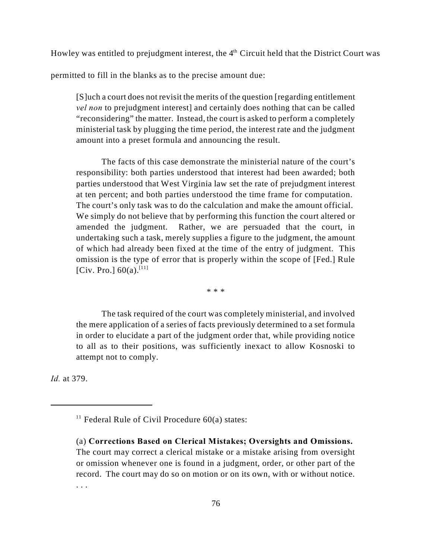Howley was entitled to prejudgment interest, the  $4<sup>th</sup>$  Circuit held that the District Court was

permitted to fill in the blanks as to the precise amount due:

[S]uch a court does not revisit the merits of the question [regarding entitlement *vel non* to prejudgment interest] and certainly does nothing that can be called "reconsidering" the matter. Instead, the court is asked to perform a completely ministerial task by plugging the time period, the interest rate and the judgment amount into a preset formula and announcing the result.

The facts of this case demonstrate the ministerial nature of the court's responsibility: both parties understood that interest had been awarded; both parties understood that West Virginia law set the rate of prejudgment interest at ten percent; and both parties understood the time frame for computation. The court's only task was to do the calculation and make the amount official. We simply do not believe that by performing this function the court altered or amended the judgment. Rather, we are persuaded that the court, in undertaking such a task, merely supplies a figure to the judgment, the amount of which had already been fixed at the time of the entry of judgment. This omission is the type of error that is properly within the scope of [Fed.] Rule [Civ. Pro.]  $60(a)$ .<sup>[11]</sup>

\* \* \*

The task required of the court was completely ministerial, and involved the mere application of a series of facts previously determined to a set formula in order to elucidate a part of the judgment order that, while providing notice to all as to their positions, was sufficiently inexact to allow Kosnoski to attempt not to comply.

*Id.* at 379.

<sup>&</sup>lt;sup>11</sup> Federal Rule of Civil Procedure  $60(a)$  states:

<sup>(</sup>a) **Corrections Based on Clerical Mistakes; Oversights and Omissions.** The court may correct a clerical mistake or a mistake arising from oversight or omission whenever one is found in a judgment, order, or other part of the record. The court may do so on motion or on its own, with or without notice. . . .